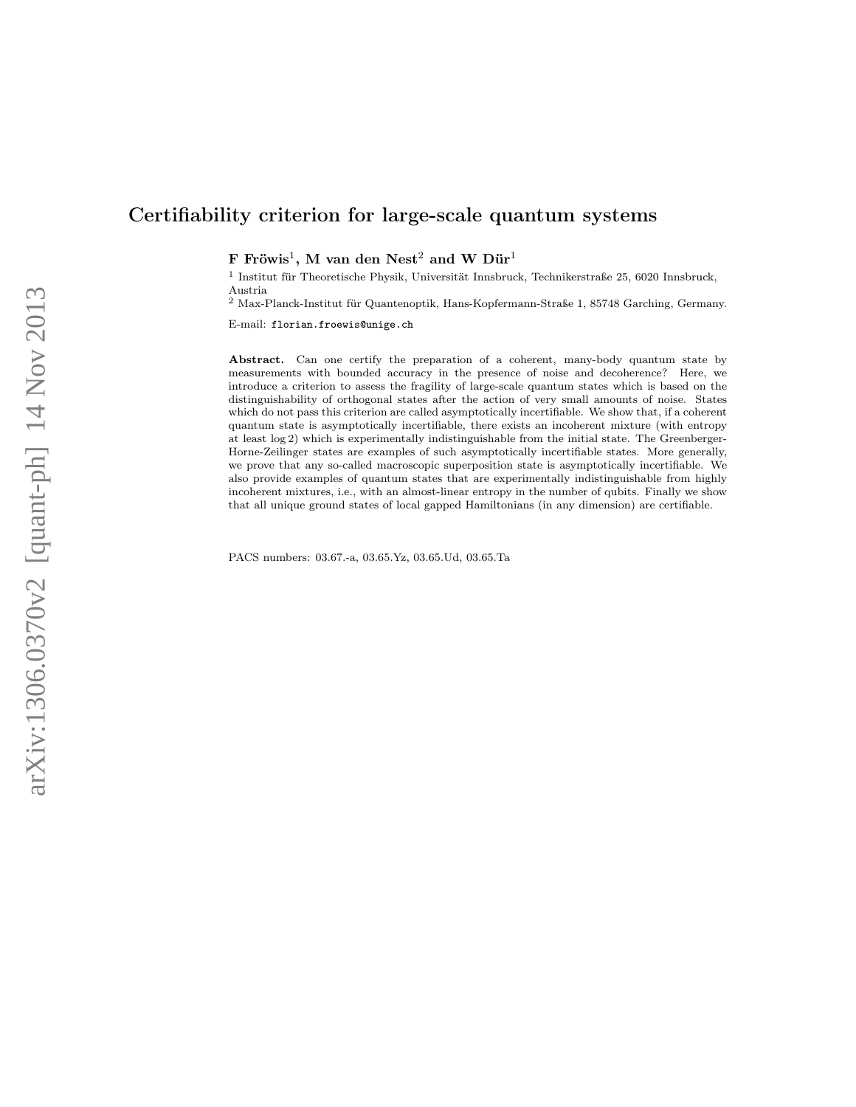# Certifiability criterion for large-scale quantum systems

 ${\bf F}$  Fröwis $^1,$  M van den Nest $^2$  and W Dür $^1$ 

1 Institut für Theoretische Physik, Universität Innsbruck, Technikerstraße 25, 6020 Innsbruck, Austria

<sup>2</sup> Max-Planck-Institut für Quantenoptik, Hans-Kopfermann-Straße 1, 85748 Garching, Germany.

E-mail: florian.froewis@unige.ch

Abstract. Can one certify the preparation of a coherent, many-body quantum state by measurements with bounded accuracy in the presence of noise and decoherence? Here, we introduce a criterion to assess the fragility of large-scale quantum states which is based on the distinguishability of orthogonal states after the action of very small amounts of noise. States which do not pass this criterion are called asymptotically incertifiable. We show that, if a coherent quantum state is asymptotically incertifiable, there exists an incoherent mixture (with entropy at least log 2) which is experimentally indistinguishable from the initial state. The Greenberger-Horne-Zeilinger states are examples of such asymptotically incertifiable states. More generally, we prove that any so-called macroscopic superposition state is asymptotically incertifiable. We also provide examples of quantum states that are experimentally indistinguishable from highly incoherent mixtures, i.e., with an almost-linear entropy in the number of qubits. Finally we show that all unique ground states of local gapped Hamiltonians (in any dimension) are certifiable.

PACS numbers: 03.67.-a, 03.65.Yz, 03.65.Ud, 03.65.Ta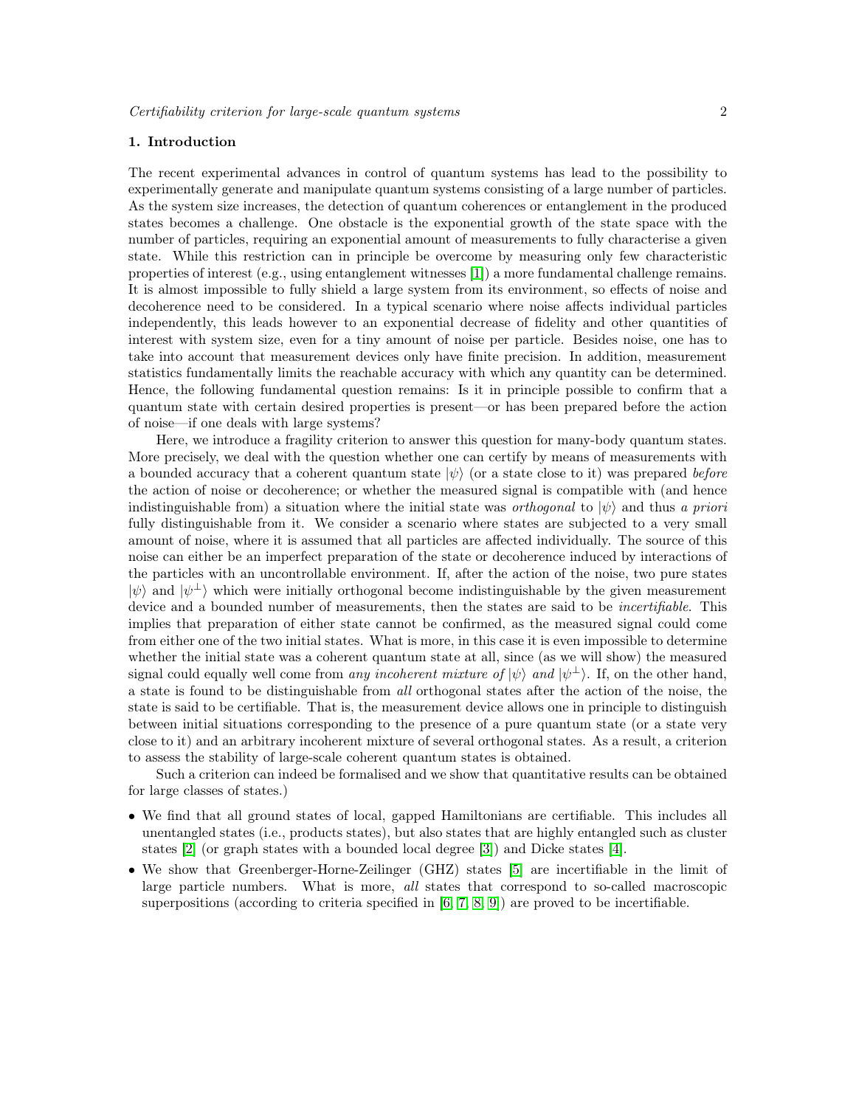# 1. Introduction

The recent experimental advances in control of quantum systems has lead to the possibility to experimentally generate and manipulate quantum systems consisting of a large number of particles. As the system size increases, the detection of quantum coherences or entanglement in the produced states becomes a challenge. One obstacle is the exponential growth of the state space with the number of particles, requiring an exponential amount of measurements to fully characterise a given state. While this restriction can in principle be overcome by measuring only few characteristic properties of interest (e.g., using entanglement witnesses [\[1\]](#page-19-0)) a more fundamental challenge remains. It is almost impossible to fully shield a large system from its environment, so effects of noise and decoherence need to be considered. In a typical scenario where noise affects individual particles independently, this leads however to an exponential decrease of fidelity and other quantities of interest with system size, even for a tiny amount of noise per particle. Besides noise, one has to take into account that measurement devices only have finite precision. In addition, measurement statistics fundamentally limits the reachable accuracy with which any quantity can be determined. Hence, the following fundamental question remains: Is it in principle possible to confirm that a quantum state with certain desired properties is present—or has been prepared before the action of noise—if one deals with large systems?

Here, we introduce a fragility criterion to answer this question for many-body quantum states. More precisely, we deal with the question whether one can certify by means of measurements with a bounded accuracy that a coherent quantum state  $|\psi\rangle$  (or a state close to it) was prepared before the action of noise or decoherence; or whether the measured signal is compatible with (and hence indistinguishable from) a situation where the initial state was *orthogonal* to  $|\psi\rangle$  and thus a priori fully distinguishable from it. We consider a scenario where states are subjected to a very small amount of noise, where it is assumed that all particles are affected individually. The source of this noise can either be an imperfect preparation of the state or decoherence induced by interactions of the particles with an uncontrollable environment. If, after the action of the noise, two pure states  $|\psi\rangle$  and  $|\psi^{\perp}\rangle$  which were initially orthogonal become indistinguishable by the given measurement device and a bounded number of measurements, then the states are said to be *incertifiable*. This implies that preparation of either state cannot be confirmed, as the measured signal could come from either one of the two initial states. What is more, in this case it is even impossible to determine whether the initial state was a coherent quantum state at all, since (as we will show) the measured signal could equally well come from any incoherent mixture of  $|\psi\rangle$  and  $|\psi^{\perp}\rangle$ . If, on the other hand, a state is found to be distinguishable from all orthogonal states after the action of the noise, the state is said to be certifiable. That is, the measurement device allows one in principle to distinguish between initial situations corresponding to the presence of a pure quantum state (or a state very close to it) and an arbitrary incoherent mixture of several orthogonal states. As a result, a criterion to assess the stability of large-scale coherent quantum states is obtained.

Such a criterion can indeed be formalised and we show that quantitative results can be obtained for large classes of states.)

- We find that all ground states of local, gapped Hamiltonians are certifiable. This includes all unentangled states (i.e., products states), but also states that are highly entangled such as cluster states [\[2\]](#page-19-1) (or graph states with a bounded local degree [\[3\]](#page-19-2)) and Dicke states [\[4\]](#page-20-0).
- We show that Greenberger-Horne-Zeilinger (GHZ) states [\[5\]](#page-20-1) are incertifiable in the limit of large particle numbers. What is more, all states that correspond to so-called macroscopic superpositions (according to criteria specified in  $[6, 7, 8, 9]$  $[6, 7, 8, 9]$  $[6, 7, 8, 9]$  $[6, 7, 8, 9]$ ) are proved to be incertifiable.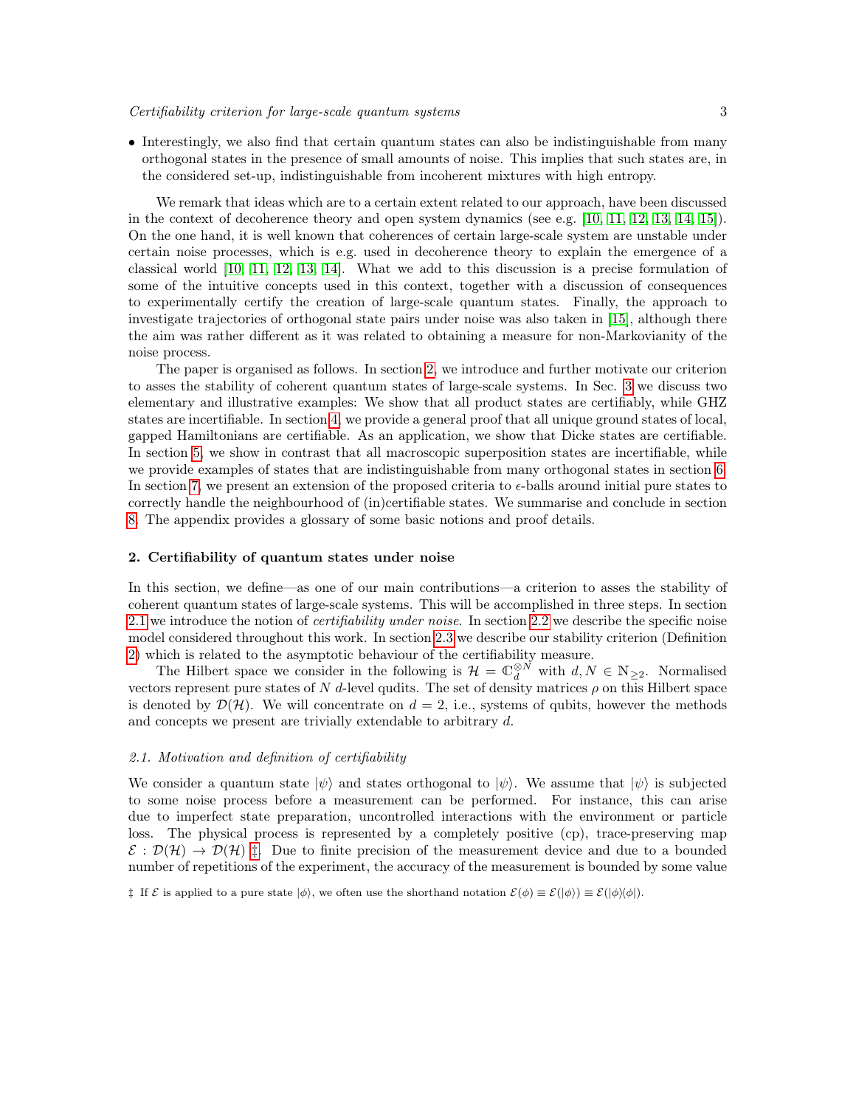• Interestingly, we also find that certain quantum states can also be indistinguishable from many orthogonal states in the presence of small amounts of noise. This implies that such states are, in the considered set-up, indistinguishable from incoherent mixtures with high entropy.

We remark that ideas which are to a certain extent related to our approach, have been discussed in the context of decoherence theory and open system dynamics (see e.g. [\[10,](#page-20-6) [11,](#page-20-7) [12,](#page-20-8) [13,](#page-20-9) [14,](#page-20-10) [15\]](#page-20-11)). On the one hand, it is well known that coherences of certain large-scale system are unstable under certain noise processes, which is e.g. used in decoherence theory to explain the emergence of a classical world [\[10,](#page-20-6) [11,](#page-20-7) [12,](#page-20-8) [13,](#page-20-9) [14\]](#page-20-10). What we add to this discussion is a precise formulation of some of the intuitive concepts used in this context, together with a discussion of consequences to experimentally certify the creation of large-scale quantum states. Finally, the approach to investigate trajectories of orthogonal state pairs under noise was also taken in [\[15\]](#page-20-11), although there the aim was rather different as it was related to obtaining a measure for non-Markovianity of the noise process.

The paper is organised as follows. In section [2,](#page-2-0) we introduce and further motivate our criterion to asses the stability of coherent quantum states of large-scale systems. In Sec. [3](#page-6-0) we discuss two elementary and illustrative examples: We show that all product states are certifiably, while GHZ states are incertifiable. In section [4,](#page-8-0) we provide a general proof that all unique ground states of local, gapped Hamiltonians are certifiable. As an application, we show that Dicke states are certifiable. In section [5,](#page-10-0) we show in contrast that all macroscopic superposition states are incertifiable, while we provide examples of states that are indistinguishable from many orthogonal states in section [6.](#page-13-0) In section [7,](#page-15-0) we present an extension of the proposed criteria to  $\epsilon$ -balls around initial pure states to correctly handle the neighbourhood of (in)certifiable states. We summarise and conclude in section [8.](#page-16-0) The appendix provides a glossary of some basic notions and proof details.

## <span id="page-2-0"></span>2. Certifiability of quantum states under noise

In this section, we define—as one of our main contributions—a criterion to asses the stability of coherent quantum states of large-scale systems. This will be accomplished in three steps. In section [2.1](#page-2-1) we introduce the notion of *certifiability under noise*. In section [2.2](#page-4-0) we describe the specific noise model considered throughout this work. In section [2.3](#page-5-0) we describe our stability criterion (Definition [2\)](#page-5-1) which is related to the asymptotic behaviour of the certifiability measure.

The Hilbert space we consider in the following is  $\mathcal{H} = \mathbb{C}_d^{\otimes N}$  with  $d, N \in \mathbb{N}_{\geq 2}$ . Normalised vectors represent pure states of N d-level qudits. The set of density matrices  $\rho$  on this Hilbert space is denoted by  $\mathcal{D}(\mathcal{H})$ . We will concentrate on  $d = 2$ , i.e., systems of qubits, however the methods and concepts we present are trivially extendable to arbitrary d.

# <span id="page-2-1"></span>2.1. Motivation and definition of certifiability

We consider a quantum state  $|\psi\rangle$  and states orthogonal to  $|\psi\rangle$ . We assume that  $|\psi\rangle$  is subjected to some noise process before a measurement can be performed. For instance, this can arise due to imperfect state preparation, uncontrolled interactions with the environment or particle loss. The physical process is represented by a completely positive (cp), trace-preserving map  $\mathcal{E}: \mathcal{D}(\mathcal{H}) \to \mathcal{D}(\mathcal{H})$   $\ddagger$ . Due to finite precision of the measurement device and due to a bounded number of repetitions of the experiment, the accuracy of the measurement is bounded by some value

<span id="page-2-2"></span>‡ If *E* is applied to a pure state  $|\phi\rangle$ , we often use the shorthand notation  $\mathcal{E}(\phi) \equiv \mathcal{E}(|\phi\rangle) \equiv \mathcal{E}(|\phi\rangle\langle\phi|)$ .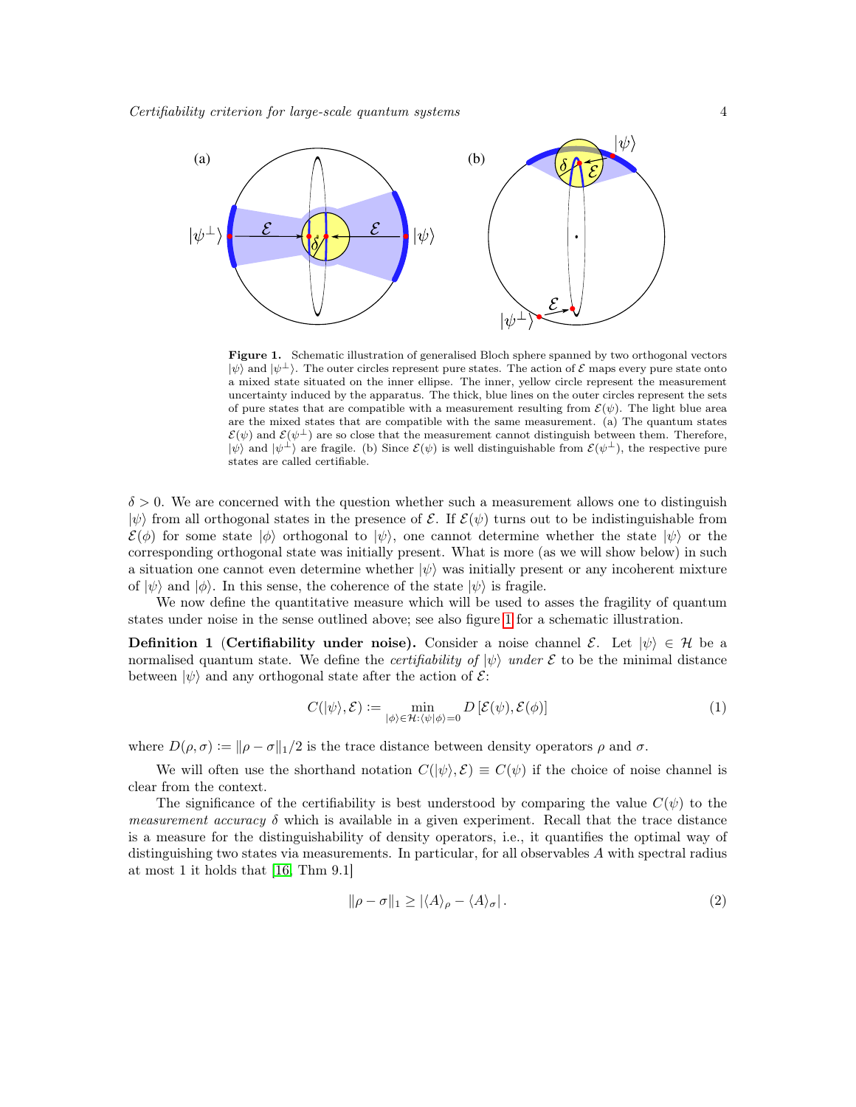

<span id="page-3-0"></span>Figure 1. Schematic illustration of generalised Bloch sphere spanned by two orthogonal vectors  $|\psi\rangle$  and  $|\psi^{\perp}\rangle$ . The outer circles represent pure states. The action of E maps every pure state onto a mixed state situated on the inner ellipse. The inner, yellow circle represent the measurement uncertainty induced by the apparatus. The thick, blue lines on the outer circles represent the sets of pure states that are compatible with a measurement resulting from  $\mathcal{E}(\psi)$ . The light blue area are the mixed states that are compatible with the same measurement. (a) The quantum states  $\mathcal{E}(\psi)$  and  $\mathcal{E}(\psi^{\perp})$  are so close that the measurement cannot distinguish between them. Therefore,  $|\psi\rangle$  and  $|\psi^{\perp}\rangle$  are fragile. (b) Since  $\mathcal{E}(\psi)$  is well distinguishable from  $\mathcal{E}(\psi^{\perp})$ , the respective pure states are called certifiable.

 $\delta > 0$ . We are concerned with the question whether such a measurement allows one to distinguish  $|\psi\rangle$  from all orthogonal states in the presence of E. If  $\mathcal{E}(\psi)$  turns out to be indistinguishable from  $\mathcal{E}(\phi)$  for some state  $|\phi\rangle$  orthogonal to  $|\psi\rangle$ , one cannot determine whether the state  $|\psi\rangle$  or the corresponding orthogonal state was initially present. What is more (as we will show below) in such a situation one cannot even determine whether  $|\psi\rangle$  was initially present or any incoherent mixture of  $|\psi\rangle$  and  $|\phi\rangle$ . In this sense, the coherence of the state  $|\psi\rangle$  is fragile.

We now define the quantitative measure which will be used to asses the fragility of quantum states under noise in the sense outlined above; see also figure [1](#page-3-0) for a schematic illustration.

**Definition 1** (Certifiability under noise). Consider a noise channel E. Let  $|\psi\rangle \in \mathcal{H}$  be a normalised quantum state. We define the *certifiability of*  $|\psi\rangle$  under  $\mathcal E$  to be the minimal distance between  $|\psi\rangle$  and any orthogonal state after the action of  $\mathcal{E}$ :

<span id="page-3-1"></span>
$$
C(|\psi\rangle, \mathcal{E}) := \min_{|\phi\rangle \in \mathcal{H}: \langle \psi | \phi \rangle = 0} D[\mathcal{E}(\psi), \mathcal{E}(\phi)] \tag{1}
$$

where  $D(\rho, \sigma) := ||\rho - \sigma||_1/2$  is the trace distance between density operators  $\rho$  and  $\sigma$ .

We will often use the shorthand notation  $C(|\psi\rangle, \mathcal{E}) \equiv C(\psi)$  if the choice of noise channel is clear from the context.

The significance of the certifiability is best understood by comparing the value  $C(\psi)$  to the measurement accuracy  $\delta$  which is available in a given experiment. Recall that the trace distance is a measure for the distinguishability of density operators, i.e., it quantifies the optimal way of distinguishing two states via measurements. In particular, for all observables A with spectral radius at most 1 it holds that [\[16,](#page-20-12) Thm 9.1]

<span id="page-3-2"></span>
$$
\|\rho - \sigma\|_1 \ge |\langle A \rangle_\rho - \langle A \rangle_\sigma| \,. \tag{2}
$$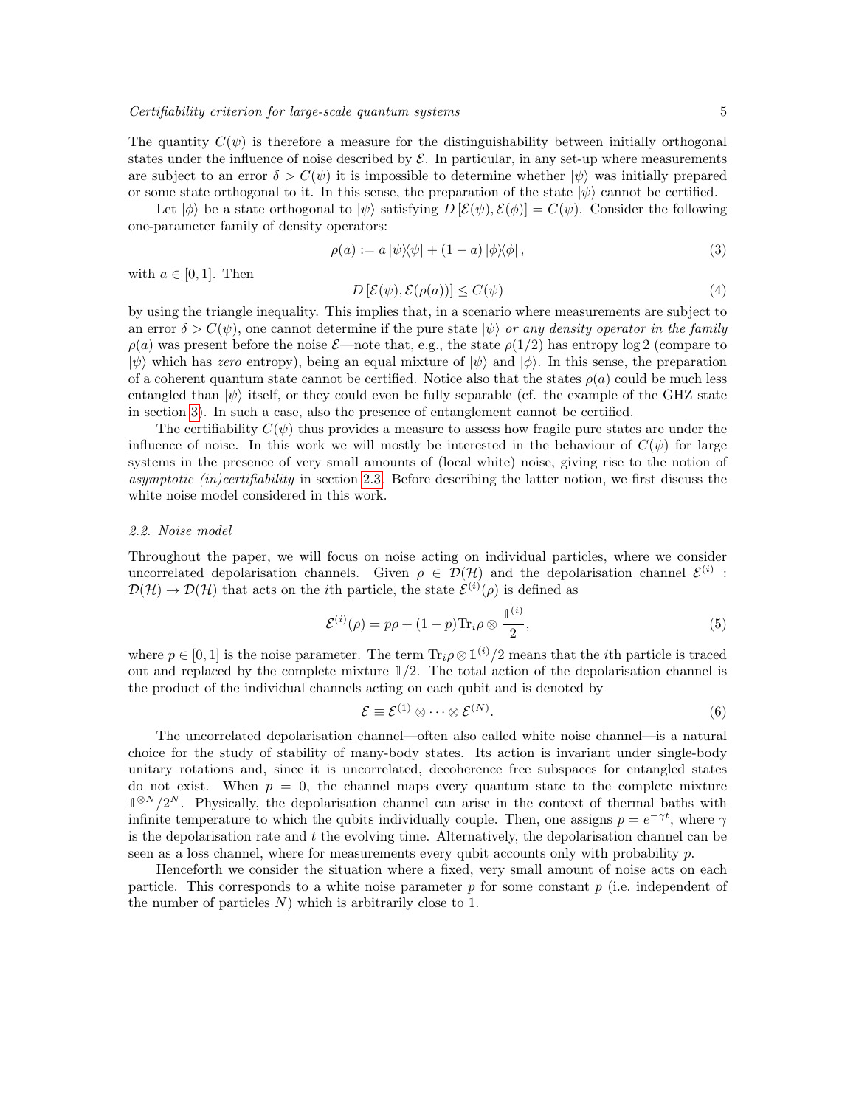# Certifiability criterion for large-scale quantum systems 5

The quantity  $C(\psi)$  is therefore a measure for the distinguishability between initially orthogonal states under the influence of noise described by  $\mathcal{E}$ . In particular, in any set-up where measurements are subject to an error  $\delta > C(\psi)$  it is impossible to determine whether  $|\psi\rangle$  was initially prepared or some state orthogonal to it. In this sense, the preparation of the state  $|\psi\rangle$  cannot be certified.

Let  $|\phi\rangle$  be a state orthogonal to  $|\psi\rangle$  satisfying  $D[\mathcal{E}(\psi), \mathcal{E}(\phi)] = C(\psi)$ . Consider the following one-parameter family of density operators:

<span id="page-4-1"></span>
$$
\rho(a) := a \left| \psi \right\rangle\!\!\left\langle \psi \right| + (1 - a) \left| \phi \right\rangle\!\!\left\langle \phi \right|, \tag{3}
$$

with  $a \in [0,1]$ . Then

$$
D\left[\mathcal{E}(\psi), \mathcal{E}(\rho(a))\right] \le C(\psi)
$$
\n<sup>(4)</sup>

by using the triangle inequality. This implies that, in a scenario where measurements are subject to an error  $\delta > C(\psi)$ , one cannot determine if the pure state  $|\psi\rangle$  or any density operator in the family  $\rho(a)$  was present before the noise  $\mathcal{E}-$ note that, e.g., the state  $\rho(1/2)$  has entropy log 2 (compare to  $|\psi\rangle$  which has zero entropy), being an equal mixture of  $|\psi\rangle$  and  $|\phi\rangle$ . In this sense, the preparation of a coherent quantum state cannot be certified. Notice also that the states  $\rho(a)$  could be much less entangled than  $|\psi\rangle$  itself, or they could even be fully separable (cf. the example of the GHZ state in section [3\)](#page-6-0). In such a case, also the presence of entanglement cannot be certified.

The certifiability  $C(\psi)$  thus provides a measure to assess how fragile pure states are under the influence of noise. In this work we will mostly be interested in the behaviour of  $C(\psi)$  for large systems in the presence of very small amounts of (local white) noise, giving rise to the notion of asymptotic (in)certifiability in section [2.3.](#page-5-0) Before describing the latter notion, we first discuss the white noise model considered in this work.

# <span id="page-4-0"></span>2.2. Noise model

Throughout the paper, we will focus on noise acting on individual particles, where we consider uncorrelated depolarisation channels. Given  $\rho \in \mathcal{D}(\mathcal{H})$  and the depolarisation channel  $\mathcal{E}^{(i)}$ :  $\mathcal{D}(\mathcal{H}) \to \mathcal{D}(\mathcal{H})$  that acts on the *i*th particle, the state  $\mathcal{E}^{(i)}(\rho)$  is defined as

$$
\mathcal{E}^{(i)}(\rho) = p\rho + (1 - p)\text{Tr}_i \rho \otimes \frac{\mathbb{1}^{(i)}}{2},\tag{5}
$$

where  $p \in [0, 1]$  is the noise parameter. The term  $\text{Tr}_{i} \rho \otimes \mathbb{1}^{(i)} / 2$  means that the *i*th particle is traced out and replaced by the complete mixture  $\mathbb{1}/2$ . The total action of the depolarisation channel is the product of the individual channels acting on each qubit and is denoted by

$$
\mathcal{E} \equiv \mathcal{E}^{(1)} \otimes \cdots \otimes \mathcal{E}^{(N)}.
$$
\n<sup>(6)</sup>

The uncorrelated depolarisation channel—often also called white noise channel—is a natural choice for the study of stability of many-body states. Its action is invariant under single-body unitary rotations and, since it is uncorrelated, decoherence free subspaces for entangled states do not exist. When  $p = 0$ , the channel maps every quantum state to the complete mixture  $\mathbb{1}^{\otimes N}/2^N$ . Physically, the depolarisation channel can arise in the context of thermal baths with infinite temperature to which the qubits individually couple. Then, one assigns  $p = e^{-\gamma t}$ , where  $\gamma$ is the depolarisation rate and  $t$  the evolving time. Alternatively, the depolarisation channel can be seen as a loss channel, where for measurements every qubit accounts only with probability  $p$ .

Henceforth we consider the situation where a fixed, very small amount of noise acts on each particle. This corresponds to a white noise parameter  $p$  for some constant  $p$  (i.e. independent of the number of particles  $N$ ) which is arbitrarily close to 1.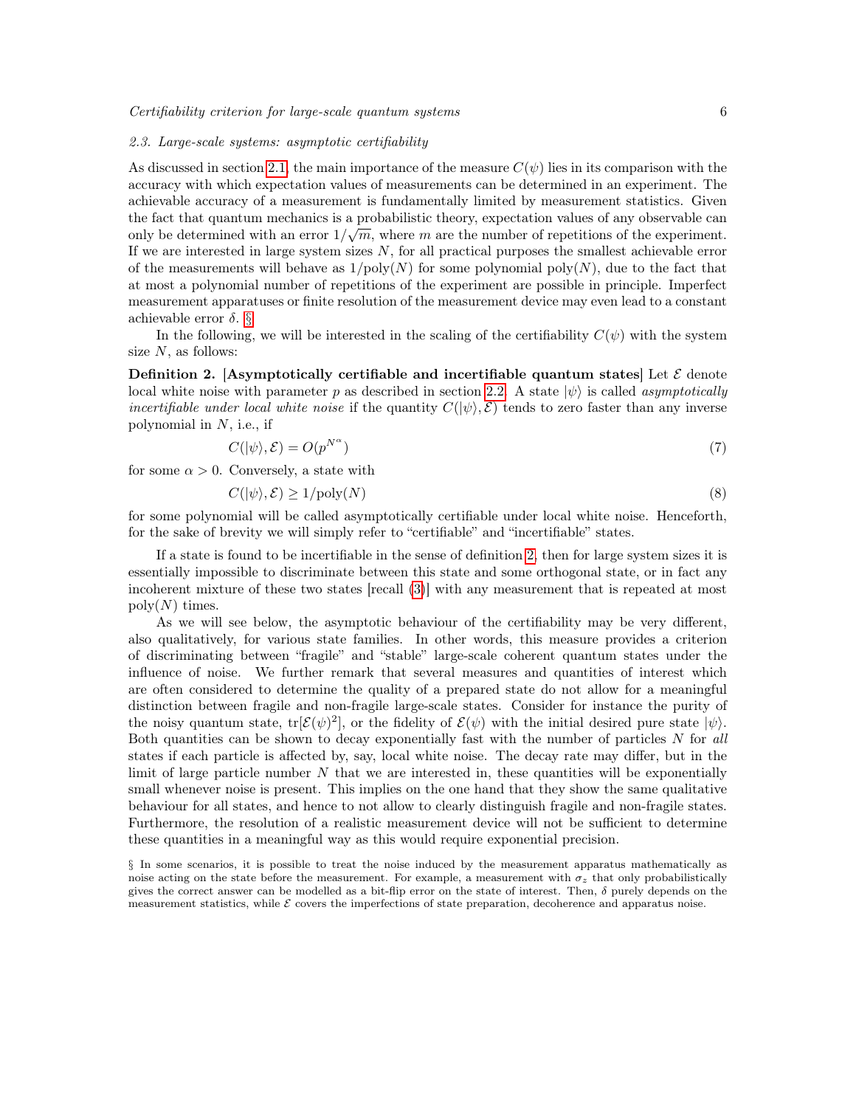#### <span id="page-5-0"></span>2.3. Large-scale systems: asymptotic certifiability

As discussed in section [2.1,](#page-2-1) the main importance of the measure  $C(\psi)$  lies in its comparison with the accuracy with which expectation values of measurements can be determined in an experiment. The achievable accuracy of a measurement is fundamentally limited by measurement statistics. Given the fact that quantum mechanics is a probabilistic theory, expectation values of any observable can only be determined with an error  $1/\sqrt{m}$ , where m are the number of repetitions of the experiment. If we are interested in large system sizes  $N$ , for all practical purposes the smallest achievable error of the measurements will behave as  $1/\text{poly}(N)$  for some polynomial  $\text{poly}(N)$ , due to the fact that at most a polynomial number of repetitions of the experiment are possible in principle. Imperfect measurement apparatuses or finite resolution of the measurement device may even lead to a constant achievable error  $\delta$ . [§](#page-5-2)

In the following, we will be interested in the scaling of the certifiability  $C(\psi)$  with the system size  $N$ , as follows:

<span id="page-5-1"></span>Definition 2. [Asymptotically certifiable and incertifiable quantum states] Let  $\mathcal E$  denote local white noise with parameter p as described in section [2.2.](#page-4-0) A state  $|\psi\rangle$  is called asymptotically *incertifiable under local white noise* if the quantity  $C(|\psi\rangle, \mathcal{E})$  tends to zero faster than any inverse polynomial in  $N$ , i.e., if

$$
C(|\psi\rangle, \mathcal{E}) = O(p^{N^{\alpha}})
$$
\n<sup>(7)</sup>

for some  $\alpha > 0$ . Conversely, a state with

$$
C(|\psi\rangle, \mathcal{E}) \ge 1/\text{poly}(N) \tag{8}
$$

for some polynomial will be called asymptotically certifiable under local white noise. Henceforth, for the sake of brevity we will simply refer to "certifiable" and "incertifiable" states.

If a state is found to be incertifiable in the sense of definition [2,](#page-5-1) then for large system sizes it is essentially impossible to discriminate between this state and some orthogonal state, or in fact any incoherent mixture of these two states [recall [\(3\)](#page-4-1)] with any measurement that is repeated at most  $poly(N)$  times.

As we will see below, the asymptotic behaviour of the certifiability may be very different, also qualitatively, for various state families. In other words, this measure provides a criterion of discriminating between "fragile" and "stable" large-scale coherent quantum states under the influence of noise. We further remark that several measures and quantities of interest which are often considered to determine the quality of a prepared state do not allow for a meaningful distinction between fragile and non-fragile large-scale states. Consider for instance the purity of the noisy quantum state,  $tr[\mathcal{E}(\psi)^2]$ , or the fidelity of  $\mathcal{E}(\psi)$  with the initial desired pure state  $|\psi\rangle$ . Both quantities can be shown to decay exponentially fast with the number of particles  $N$  for all states if each particle is affected by, say, local white noise. The decay rate may differ, but in the limit of large particle number  $N$  that we are interested in, these quantities will be exponentially small whenever noise is present. This implies on the one hand that they show the same qualitative behaviour for all states, and hence to not allow to clearly distinguish fragile and non-fragile states. Furthermore, the resolution of a realistic measurement device will not be sufficient to determine these quantities in a meaningful way as this would require exponential precision.

<span id="page-5-2"></span><sup>§</sup> In some scenarios, it is possible to treat the noise induced by the measurement apparatus mathematically as noise acting on the state before the measurement. For example, a measurement with  $\sigma_z$  that only probabilistically gives the correct answer can be modelled as a bit-flip error on the state of interest. Then,  $\delta$  purely depends on the measurement statistics, while  $\mathcal E$  covers the imperfections of state preparation, decoherence and apparatus noise.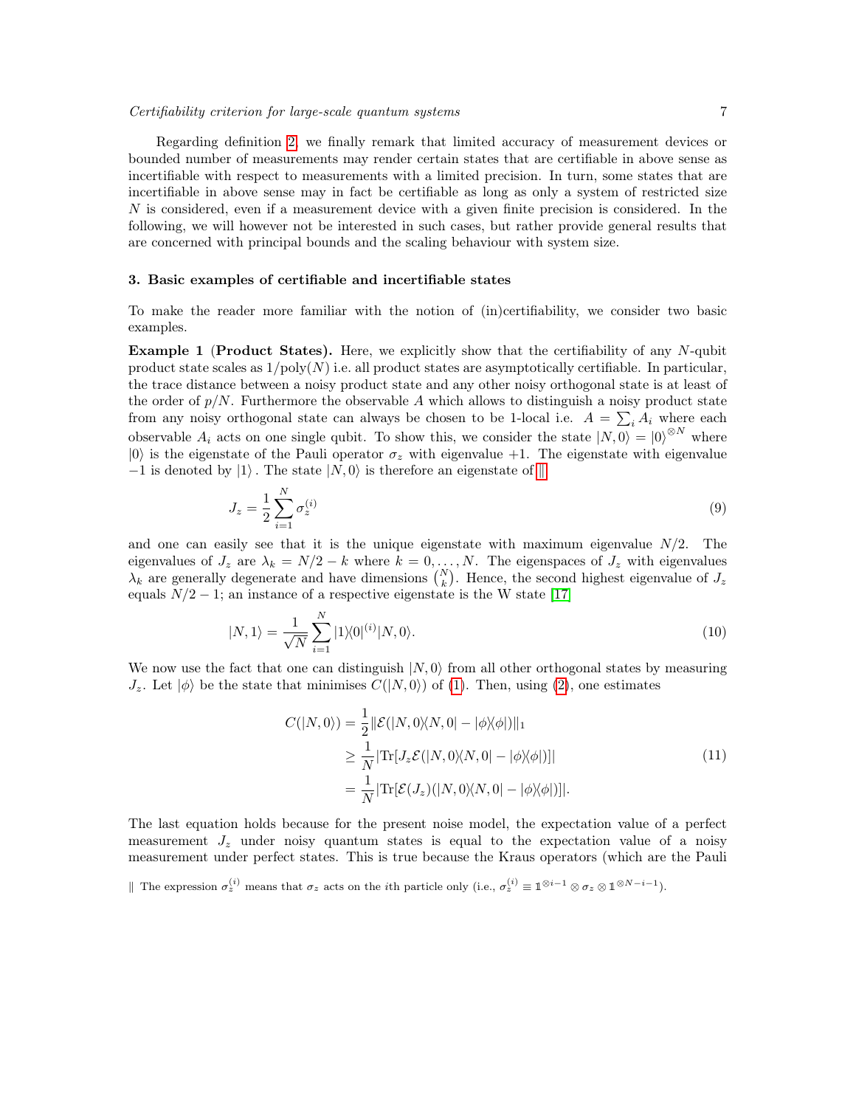Regarding definition [2,](#page-5-1) we finally remark that limited accuracy of measurement devices or bounded number of measurements may render certain states that are certifiable in above sense as incertifiable with respect to measurements with a limited precision. In turn, some states that are incertifiable in above sense may in fact be certifiable as long as only a system of restricted size N is considered, even if a measurement device with a given finite precision is considered. In the following, we will however not be interested in such cases, but rather provide general results that are concerned with principal bounds and the scaling behaviour with system size.

# <span id="page-6-0"></span>3. Basic examples of certifiable and incertifiable states

To make the reader more familiar with the notion of (in)certifiability, we consider two basic examples.

<span id="page-6-2"></span>Example 1 (Product States). Here, we explicitly show that the certifiability of any N-qubit product state scales as  $1/\text{poly}(N)$  i.e. all product states are asymptotically certifiable. In particular, the trace distance between a noisy product state and any other noisy orthogonal state is at least of the order of  $p/N$ . Furthermore the observable A which allows to distinguish a noisy product state from any noisy orthogonal state can always be chosen to be 1-local i.e.  $A = \sum_i A_i$  where each observable  $A_i$  acts on one single qubit. To show this, we consider the state  $|N,0\rangle = |0\rangle^{\otimes N}$  where  $|0\rangle$  is the eigenstate of the Pauli operator  $\sigma_z$  with eigenvalue +1. The eigenstate with eigenvalue  $-1$  is denoted by  $|1\rangle$ . The state  $|N, 0\rangle$  is therefore an eigenstate of  $\|$ 

$$
J_z = \frac{1}{2} \sum_{i=1}^{N} \sigma_z^{(i)} \tag{9}
$$

and one can easily see that it is the unique eigenstate with maximum eigenvalue  $N/2$ . The eigenvalues of  $J_z$  are  $\lambda_k = N/2 - k$  where  $k = 0, \ldots, N$ . The eigenspaces of  $J_z$  with eigenvalues  $\lambda_k$  are generally degenerate and have dimensions  $\binom{N}{k}$ . Hence, the second highest eigenvalue of  $J_z$ equals  $N/2 - 1$ ; an instance of a respective eigenstate is the W state [\[17\]](#page-20-13)

$$
|N,1\rangle = \frac{1}{\sqrt{N}} \sum_{i=1}^{N} |1\rangle\langle 0|^{(i)}|N,0\rangle. \tag{10}
$$

We now use the fact that one can distinguish  $|N, 0\rangle$  from all other orthogonal states by measuring  $J_z$ . Let  $|\phi\rangle$  be the state that minimises  $C(|N,0\rangle)$  of [\(1\)](#page-3-1). Then, using [\(2\)](#page-3-2), one estimates

$$
C(|N,0\rangle) = \frac{1}{2} ||\mathcal{E}(|N,0\rangle\langle N,0| - |\phi\rangle\langle\phi|)||_1
$$
  
\n
$$
\geq \frac{1}{N} |\text{Tr}[J_z\mathcal{E}(|N,0\rangle\langle N,0| - |\phi\rangle\langle\phi|)]|
$$
  
\n
$$
= \frac{1}{N} |\text{Tr}[\mathcal{E}(J_z)(|N,0\rangle\langle N,0| - |\phi\rangle\langle\phi|)]|.
$$
 (11)

The last equation holds because for the present noise model, the expectation value of a perfect measurement  $J<sub>z</sub>$  under noisy quantum states is equal to the expectation value of a noisy measurement under perfect states. This is true because the Kraus operators (which are the Pauli

<span id="page-6-1"></span>|| The expression  $\sigma_z^{(i)}$  means that  $\sigma_z$  acts on the *i*th particle only (i.e.,  $\sigma_z^{(i)} \equiv \mathbb{1}^{\otimes i-1} \otimes \sigma_z \otimes \mathbb{1}^{\otimes N-i-1}$ ).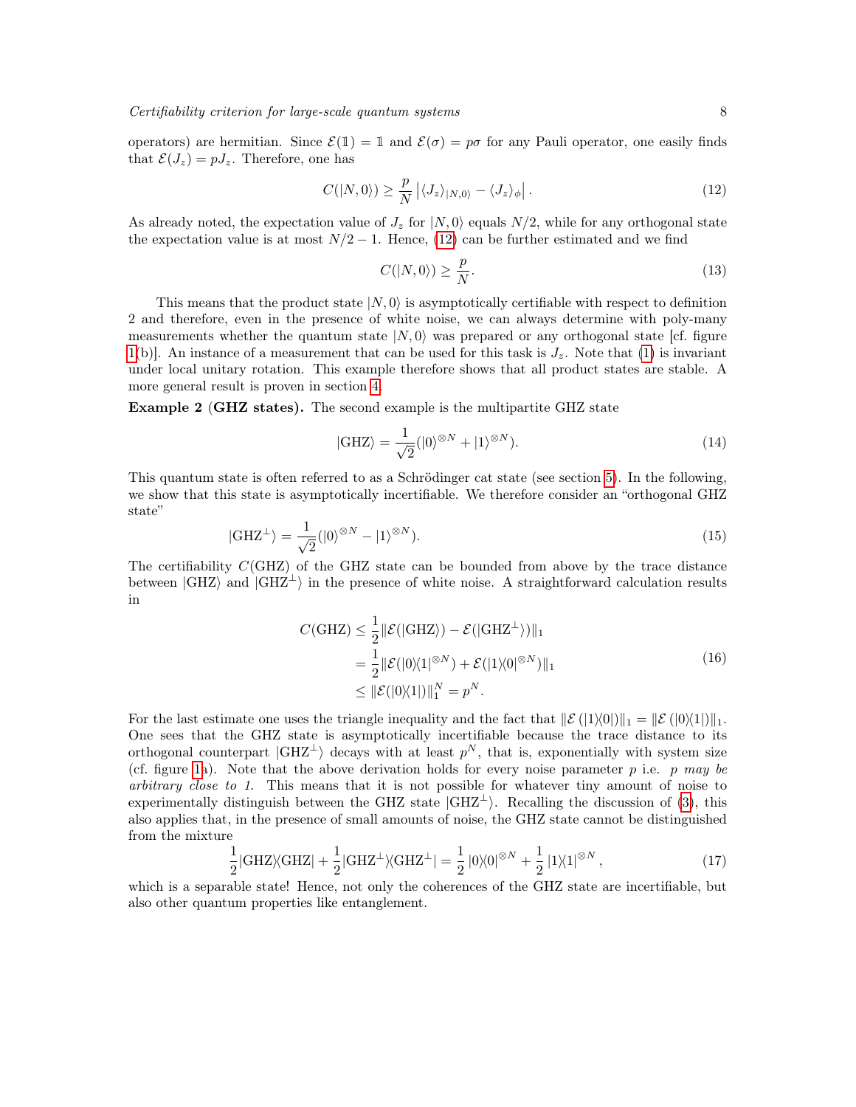operators) are hermitian. Since  $\mathcal{E}(1) = 1$  and  $\mathcal{E}(\sigma) = p\sigma$  for any Pauli operator, one easily finds that  $\mathcal{E}(J_z) = pJ_z$ . Therefore, one has

<span id="page-7-0"></span>
$$
C(|N,0\rangle) \geq \frac{p}{N} \left| \langle J_z \rangle_{|N,0\rangle} - \langle J_z \rangle_{\phi} \right|.
$$
 (12)

As already noted, the expectation value of  $J_z$  for  $|N, 0\rangle$  equals  $N/2$ , while for any orthogonal state the expectation value is at most  $N/2 - 1$ . Hence, [\(12\)](#page-7-0) can be further estimated and we find

$$
C(|N,0\rangle) \ge \frac{p}{N}.\tag{13}
$$

This means that the product state  $|N, 0\rangle$  is asymptotically certifiable with respect to definition 2 and therefore, even in the presence of white noise, we can always determine with poly-many measurements whether the quantum state  $|N, 0\rangle$  was prepared or any orthogonal state [cf. figure [1\(](#page-3-0)b)]. An instance of a measurement that can be used for this task is  $J_z$ . Note that [\(1\)](#page-3-1) is invariant under local unitary rotation. This example therefore shows that all product states are stable. A more general result is proven in section [4.](#page-8-0)

Example 2 (GHZ states). The second example is the multipartite GHZ state

$$
|\text{GHZ}\rangle = \frac{1}{\sqrt{2}} (|0\rangle^{\otimes N} + |1\rangle^{\otimes N}). \tag{14}
$$

This quantum state is often referred to as a Schrödinger cat state (see section [5\)](#page-10-0). In the following, we show that this state is asymptotically incertifiable. We therefore consider an "orthogonal GHZ state"

$$
|\text{GHZ}^{\perp}\rangle = \frac{1}{\sqrt{2}} (|0\rangle^{\otimes N} - |1\rangle^{\otimes N}).
$$
\n(15)

The certifiability  $C(GHZ)$  of the GHZ state can be bounded from above by the trace distance between  $|GHZ\rangle$  and  $|GHZ^{\perp}\rangle$  in the presence of white noise. A straightforward calculation results in

$$
C(\text{GHZ}) \le \frac{1}{2} \|\mathcal{E}(|\text{GHZ}\rangle) - \mathcal{E}(|\text{GHZ}^{\perp}\rangle) \|_1
$$
  
=  $\frac{1}{2} \|\mathcal{E}(|0\rangle\langle 1|^{\otimes N}) + \mathcal{E}(|1\rangle\langle 0|^{\otimes N}) \|_1$   
 $\le \|\mathcal{E}(|0\rangle\langle 1|)\|_1^N = p^N.$  (16)

For the last estimate one uses the triangle inequality and the fact that  $||\mathcal{E}(|1\rangle\langle0|)||_1 = ||\mathcal{E}(|0\rangle\langle1|)||_1$ . One sees that the GHZ state is asymptotically incertifiable because the trace distance to its orthogonal counterpart  $|GHZ^{\perp}\rangle$  decays with at least  $p^N$ , that is, exponentially with system size (cf. figure [1a](#page-3-0)). Note that the above derivation holds for every noise parameter  $p$  i.e.  $p$  may be arbitrary close to 1. This means that it is not possible for whatever tiny amount of noise to experimentally distinguish between the GHZ state  $|GHZ^{\perp}\rangle$ . Recalling the discussion of [\(3\)](#page-4-1), this also applies that, in the presence of small amounts of noise, the GHZ state cannot be distinguished from the mixture

$$
\frac{1}{2}|\text{GHZ}\rangle\langle\text{GHZ}| + \frac{1}{2}|\text{GHZ}^{\perp}\rangle\langle\text{GHZ}^{\perp}| = \frac{1}{2}|0\rangle\langle 0|^{\otimes N} + \frac{1}{2}|1\rangle\langle 1|^{\otimes N},\tag{17}
$$

which is a separable state! Hence, not only the coherences of the GHZ state are incertifiable, but also other quantum properties like entanglement.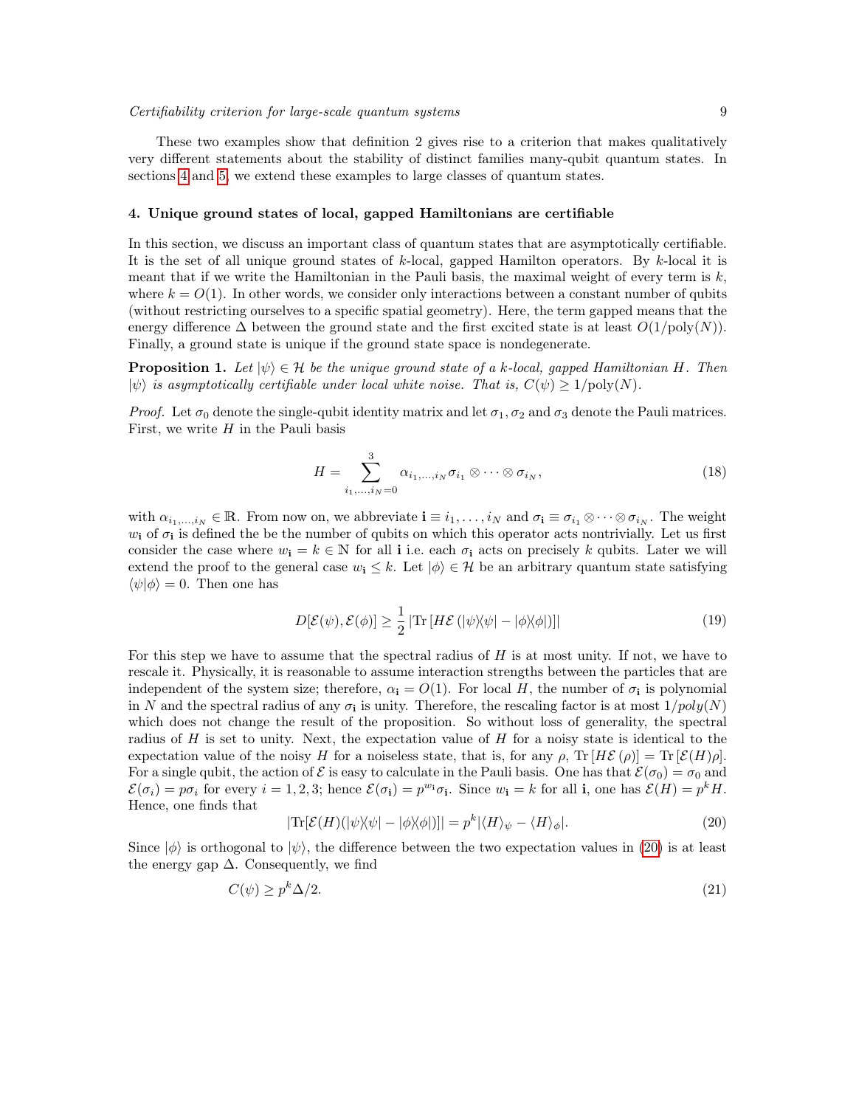These two examples show that definition 2 gives rise to a criterion that makes qualitatively very different statements about the stability of distinct families many-qubit quantum states. In sections [4](#page-8-0) and [5,](#page-10-0) we extend these examples to large classes of quantum states.

# <span id="page-8-0"></span>4. Unique ground states of local, gapped Hamiltonians are certifiable

In this section, we discuss an important class of quantum states that are asymptotically certifiable. It is the set of all unique ground states of k-local, gapped Hamilton operators. By k-local it is meant that if we write the Hamiltonian in the Pauli basis, the maximal weight of every term is  $k$ , where  $k = O(1)$ . In other words, we consider only interactions between a constant number of qubits (without restricting ourselves to a specific spatial geometry). Here, the term gapped means that the energy difference  $\Delta$  between the ground state and the first excited state is at least  $O(1/\text{poly}(N))$ . Finally, a ground state is unique if the ground state space is nondegenerate.

<span id="page-8-2"></span>**Proposition 1.** Let  $|\psi\rangle \in \mathcal{H}$  be the unique ground state of a k-local, gapped Hamiltonian H. Then  $|\psi\rangle$  is asymptotically certifiable under local white noise. That is,  $C(\psi) \ge 1/\text{poly}(N)$ .

*Proof.* Let  $\sigma_0$  denote the single-qubit identity matrix and let  $\sigma_1$ ,  $\sigma_2$  and  $\sigma_3$  denote the Pauli matrices. First, we write  $H$  in the Pauli basis

$$
H = \sum_{i_1,\dots,i_N=0}^{3} \alpha_{i_1,\dots,i_N} \sigma_{i_1} \otimes \cdots \otimes \sigma_{i_N},
$$
\n(18)

with  $\alpha_{i_1,\dots,i_N} \in \mathbb{R}$ . From now on, we abbreviate  $\mathbf{i} \equiv i_1,\dots,i_N$  and  $\sigma_{\mathbf{i}} \equiv \sigma_{i_1} \otimes \cdots \otimes \sigma_{i_N}$ . The weight  $w_i$  of  $\sigma_i$  is defined the be the number of qubits on which this operator acts nontrivially. Let us first consider the case where  $w_i = k \in \mathbb{N}$  for all i i.e. each  $\sigma_i$  acts on precisely k qubits. Later we will extend the proof to the general case  $w_i \leq k$ . Let  $|\phi\rangle \in \mathcal{H}$  be an arbitrary quantum state satisfying  $\langle \psi | \phi \rangle = 0$ . Then one has

$$
D[\mathcal{E}(\psi), \mathcal{E}(\phi)] \ge \frac{1}{2} |\text{Tr}[H\mathcal{E}(|\psi\rangle\langle\psi| - |\phi\rangle\langle\phi|)]|
$$
 (19)

For this step we have to assume that the spectral radius of  $H$  is at most unity. If not, we have to rescale it. Physically, it is reasonable to assume interaction strengths between the particles that are independent of the system size; therefore,  $\alpha_i = O(1)$ . For local H, the number of  $\sigma_i$  is polynomial in N and the spectral radius of any  $\sigma_i$  is unity. Therefore, the rescaling factor is at most  $1/poly(N)$ which does not change the result of the proposition. So without loss of generality, the spectral radius of  $H$  is set to unity. Next, the expectation value of  $H$  for a noisy state is identical to the expectation value of the noisy H for a noiseless state, that is, for any  $\rho$ ,  $\text{Tr}\left[H\mathcal{E}(\rho)\right] = \text{Tr}\left[\mathcal{E}(H)\rho\right]$ . For a single qubit, the action of  $\mathcal E$  is easy to calculate in the Pauli basis. One has that  $\mathcal E(\sigma_0) = \sigma_0$  and  $\mathcal{E}(\sigma_i) = p\sigma_i$  for every  $i = 1, 2, 3$ ; hence  $\mathcal{E}(\sigma_i) = p^{w_i} \sigma_i$ . Since  $w_i = k$  for all i, one has  $\mathcal{E}(H) = p^k H$ . Hence, one finds that

<span id="page-8-1"></span>
$$
|\text{Tr}[\mathcal{E}(H)(|\psi\rangle\langle\psi| - |\phi\rangle\langle\phi|)]| = p^k |\langle H\rangle_\psi - \langle H\rangle_\phi|.
$$
\n(20)

Since  $|\phi\rangle$  is orthogonal to  $|\psi\rangle$ , the difference between the two expectation values in [\(20\)](#page-8-1) is at least the energy gap  $\Delta$ . Consequently, we find

$$
C(\psi) \ge p^k \Delta/2. \tag{21}
$$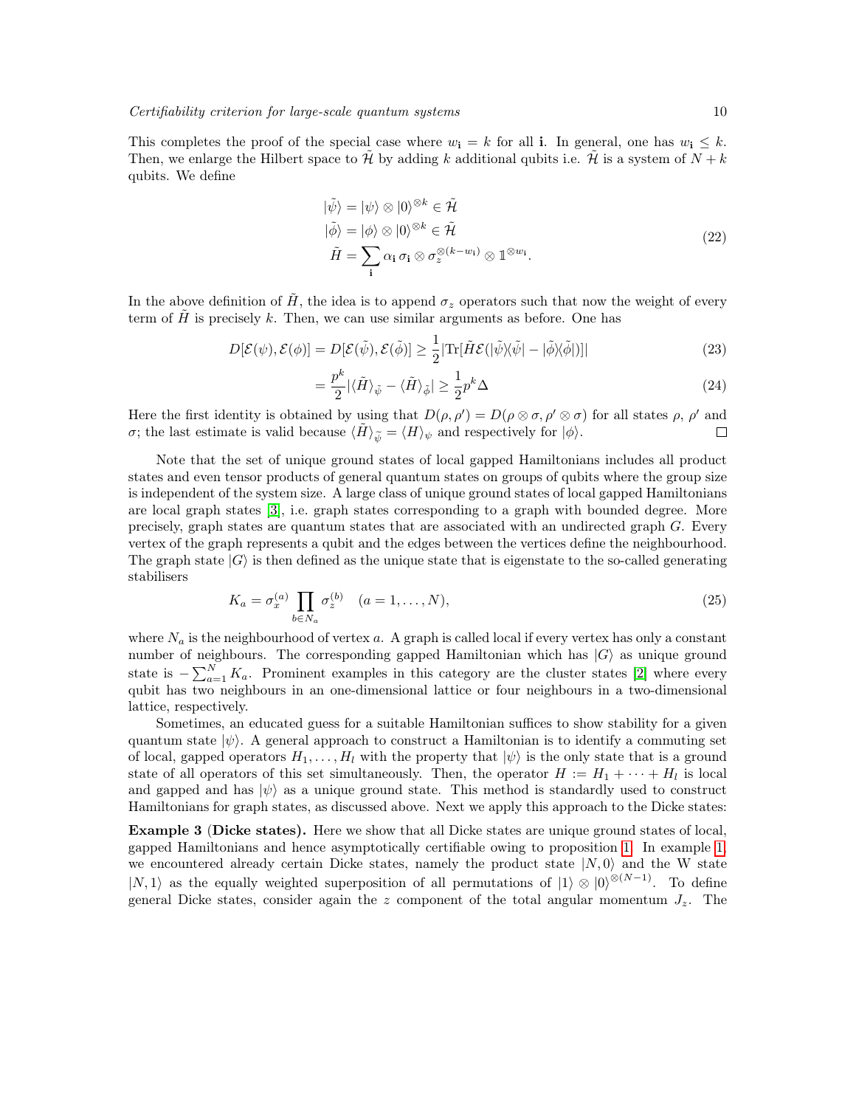This completes the proof of the special case where  $w_i = k$  for all i. In general, one has  $w_i \leq k$ . Then, we enlarge the Hilbert space to H by adding k additional qubits i.e. H is a system of  $N + k$ qubits. We define

$$
\begin{aligned}\n|\tilde{\psi}\rangle &= |\psi\rangle \otimes |0\rangle^{\otimes k} \in \tilde{\mathcal{H}} \\
|\tilde{\phi}\rangle &= |\phi\rangle \otimes |0\rangle^{\otimes k} \in \tilde{\mathcal{H}} \\
\tilde{H} &= \sum_{\mathbf{i}} \alpha_{\mathbf{i}} \sigma_{\mathbf{i}} \otimes \sigma_z^{\otimes (k-w_{\mathbf{i}})} \otimes \mathbb{1}^{\otimes w_{\mathbf{i}}}.\n\end{aligned} \tag{22}
$$

In the above definition of  $\tilde{H}$ , the idea is to append  $\sigma_z$  operators such that now the weight of every term of  $H$  is precisely k. Then, we can use similar arguments as before. One has

$$
D[\mathcal{E}(\psi), \mathcal{E}(\phi)] = D[\mathcal{E}(\tilde{\psi}), \mathcal{E}(\tilde{\phi})] \ge \frac{1}{2} |\text{Tr}[\tilde{H}\mathcal{E}(|\tilde{\psi}\rangle\langle\tilde{\psi}| - |\tilde{\phi}\rangle\langle\tilde{\phi}|)]|
$$
(23)

$$
=\frac{p^k}{2}|\langle \tilde{H}\rangle_{\tilde{\psi}} - \langle \tilde{H}\rangle_{\tilde{\phi}}| \ge \frac{1}{2}p^k\Delta\tag{24}
$$

Here the first identity is obtained by using that  $D(\rho, \rho') = D(\rho \otimes \sigma, \rho' \otimes \sigma)$  for all states  $\rho, \rho'$  and σ; the last estimate is valid because  $\langle H \rangle_{\tilde{\psi}} = \langle H \rangle_{\psi}$  and respectively for  $|\phi\rangle$ .  $\Box$ 

Note that the set of unique ground states of local gapped Hamiltonians includes all product states and even tensor products of general quantum states on groups of qubits where the group size is independent of the system size. A large class of unique ground states of local gapped Hamiltonians are local graph states [\[3\]](#page-19-2), i.e. graph states corresponding to a graph with bounded degree. More precisely, graph states are quantum states that are associated with an undirected graph G. Every vertex of the graph represents a qubit and the edges between the vertices define the neighbourhood. The graph state  $|G\rangle$  is then defined as the unique state that is eigenstate to the so-called generating stabilisers

$$
K_a = \sigma_x^{(a)} \prod_{b \in N_a} \sigma_z^{(b)} \quad (a = 1, \dots, N), \tag{25}
$$

where  $N_a$  is the neighbourhood of vertex  $a$ . A graph is called local if every vertex has only a constant number of neighbours. The corresponding gapped Hamiltonian which has  $|G\rangle$  as unique ground state is  $-\sum_{a=1}^{N} K_a$ . Prominent examples in this category are the cluster states [\[2\]](#page-19-1) where every qubit has two neighbours in an one-dimensional lattice or four neighbours in a two-dimensional lattice, respectively.

Sometimes, an educated guess for a suitable Hamiltonian suffices to show stability for a given quantum state  $|\psi\rangle$ . A general approach to construct a Hamiltonian is to identify a commuting set of local, gapped operators  $H_1, \ldots, H_l$  with the property that  $|\psi\rangle$  is the only state that is a ground state of all operators of this set simultaneously. Then, the operator  $H := H_1 + \cdots + H_l$  is local and gapped and has  $|\psi\rangle$  as a unique ground state. This method is standardly used to construct Hamiltonians for graph states, as discussed above. Next we apply this approach to the Dicke states:

<span id="page-9-0"></span>Example 3 (Dicke states). Here we show that all Dicke states are unique ground states of local, gapped Hamiltonians and hence asymptotically certifiable owing to proposition [1.](#page-8-2) In example [1,](#page-6-2) we encountered already certain Dicke states, namely the product state  $|N, 0\rangle$  and the W state  $|N, 1\rangle$  as the equally weighted superposition of all permutations of  $|1\rangle \otimes |0\rangle^{\otimes (N-1)}$ . To define general Dicke states, consider again the z component of the total angular momentum  $J_z$ . The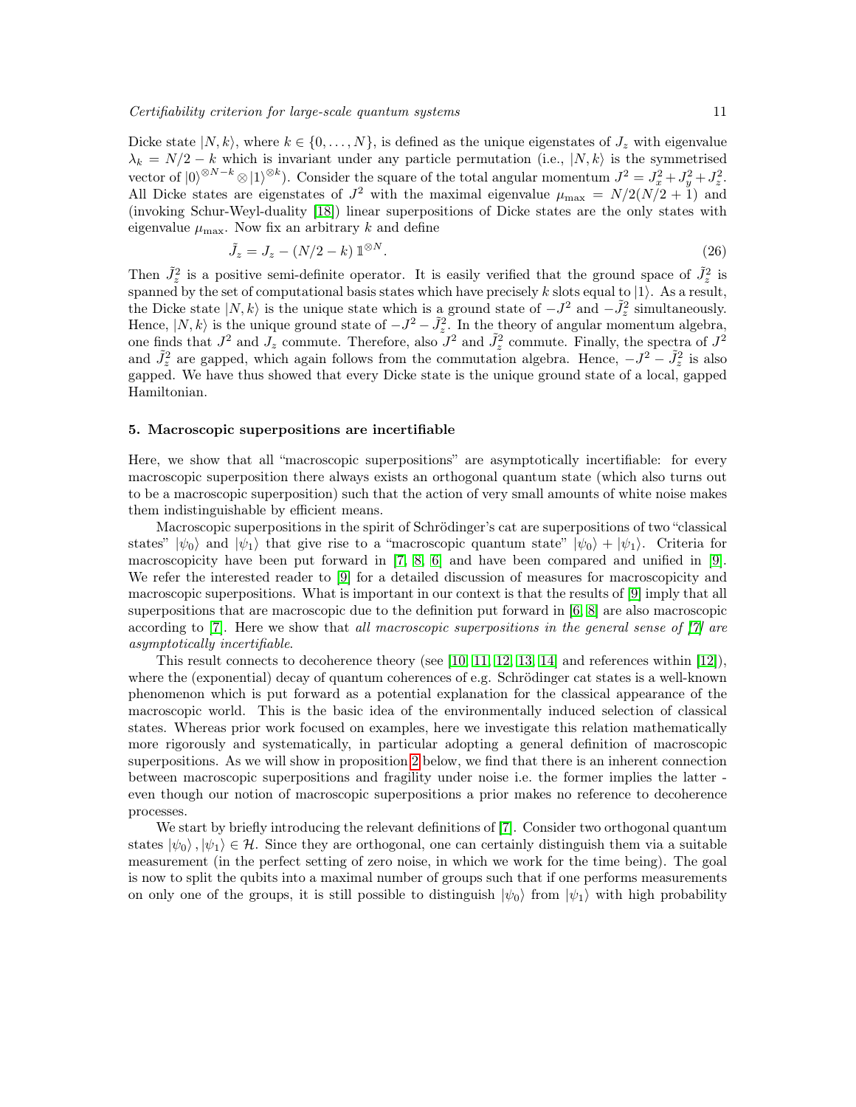Dicke state  $|N, k\rangle$ , where  $k \in \{0, \ldots, N\}$ , is defined as the unique eigenstates of  $J_z$  with eigenvalue  $\lambda_k = N/2 - k$  which is invariant under any particle permutation (i.e., |N, k) is the symmetrised vector of  $|0\rangle^{\otimes N-k} \otimes |1\rangle^{\otimes k}$ . Consider the square of the total angular momentum  $J^2 = J_x^2 + J_y^2 + J_z^2$ . All Dicke states are eigenstates of  $J^2$  with the maximal eigenvalue  $\mu_{\text{max}} = N/2(N/2 + 1)$  and (invoking Schur-Weyl-duality [\[18\]](#page-20-14)) linear superpositions of Dicke states are the only states with eigenvalue  $\mu_{\text{max}}$ . Now fix an arbitrary k and define

$$
\tilde{J}_z = J_z - (N/2 - k) \mathbb{1}^{\otimes N}.\tag{26}
$$

Then  $\tilde{J}_z^2$  is a positive semi-definite operator. It is easily verified that the ground space of  $\tilde{J}_z^2$  is spanned by the set of computational basis states which have precisely k slots equal to  $|1\rangle$ . As a result, the Dicke state  $|N, k\rangle$  is the unique state which is a ground state of  $-J^2$  and  $-\tilde{J}_z^2$  simultaneously. Hence,  $|N, k\rangle$  is the unique ground state of  $-J^2 - \tilde{J}_z^2$ . In the theory of angular momentum algebra, one finds that  $J^2$  and  $J_z$  commute. Therefore, also  $J^2$  and  $\tilde{J}_z^2$  commute. Finally, the spectra of  $J^2$ and  $\tilde{J}_z^2$  are gapped, which again follows from the commutation algebra. Hence,  $-J^2 - \tilde{J}_z^2$  is also gapped. We have thus showed that every Dicke state is the unique ground state of a local, gapped Hamiltonian.

# <span id="page-10-0"></span>5. Macroscopic superpositions are incertifiable

Here, we show that all "macroscopic superpositions" are asymptotically incertifiable: for every macroscopic superposition there always exists an orthogonal quantum state (which also turns out to be a macroscopic superposition) such that the action of very small amounts of white noise makes them indistinguishable by efficient means.

Macroscopic superpositions in the spirit of Schrödinger's cat are superpositions of two "classical states"  $|\psi_0\rangle$  and  $|\psi_1\rangle$  that give rise to a "macroscopic quantum state"  $|\psi_0\rangle + |\psi_1\rangle$ . Criteria for macroscopicity have been put forward in [\[7,](#page-20-3) [8,](#page-20-4) [6\]](#page-20-2) and have been compared and unified in [\[9\]](#page-20-5). We refer the interested reader to [\[9\]](#page-20-5) for a detailed discussion of measures for macroscopicity and macroscopic superpositions. What is important in our context is that the results of [\[9\]](#page-20-5) imply that all superpositions that are macroscopic due to the definition put forward in [\[6,](#page-20-2) [8\]](#page-20-4) are also macroscopic according to [\[7\]](#page-20-3). Here we show that all macroscopic superpositions in the general sense of [7] are asymptotically incertifiable.

This result connects to decoherence theory (see  $[10, 11, 12, 13, 14]$  $[10, 11, 12, 13, 14]$  $[10, 11, 12, 13, 14]$  $[10, 11, 12, 13, 14]$  $[10, 11, 12, 13, 14]$  and references within  $[12]$ ), where the (exponential) decay of quantum coherences of e.g. Schrödinger cat states is a well-known phenomenon which is put forward as a potential explanation for the classical appearance of the macroscopic world. This is the basic idea of the environmentally induced selection of classical states. Whereas prior work focused on examples, here we investigate this relation mathematically more rigorously and systematically, in particular adopting a general definition of macroscopic superpositions. As we will show in proposition [2](#page-11-0) below, we find that there is an inherent connection between macroscopic superpositions and fragility under noise i.e. the former implies the latter even though our notion of macroscopic superpositions a prior makes no reference to decoherence processes.

We start by briefly introducing the relevant definitions of [\[7\]](#page-20-3). Consider two orthogonal quantum states  $|\psi_0\rangle$ ,  $|\psi_1\rangle \in \mathcal{H}$ . Since they are orthogonal, one can certainly distinguish them via a suitable measurement (in the perfect setting of zero noise, in which we work for the time being). The goal is now to split the qubits into a maximal number of groups such that if one performs measurements on only one of the groups, it is still possible to distinguish  $|\psi_0\rangle$  from  $|\psi_1\rangle$  with high probability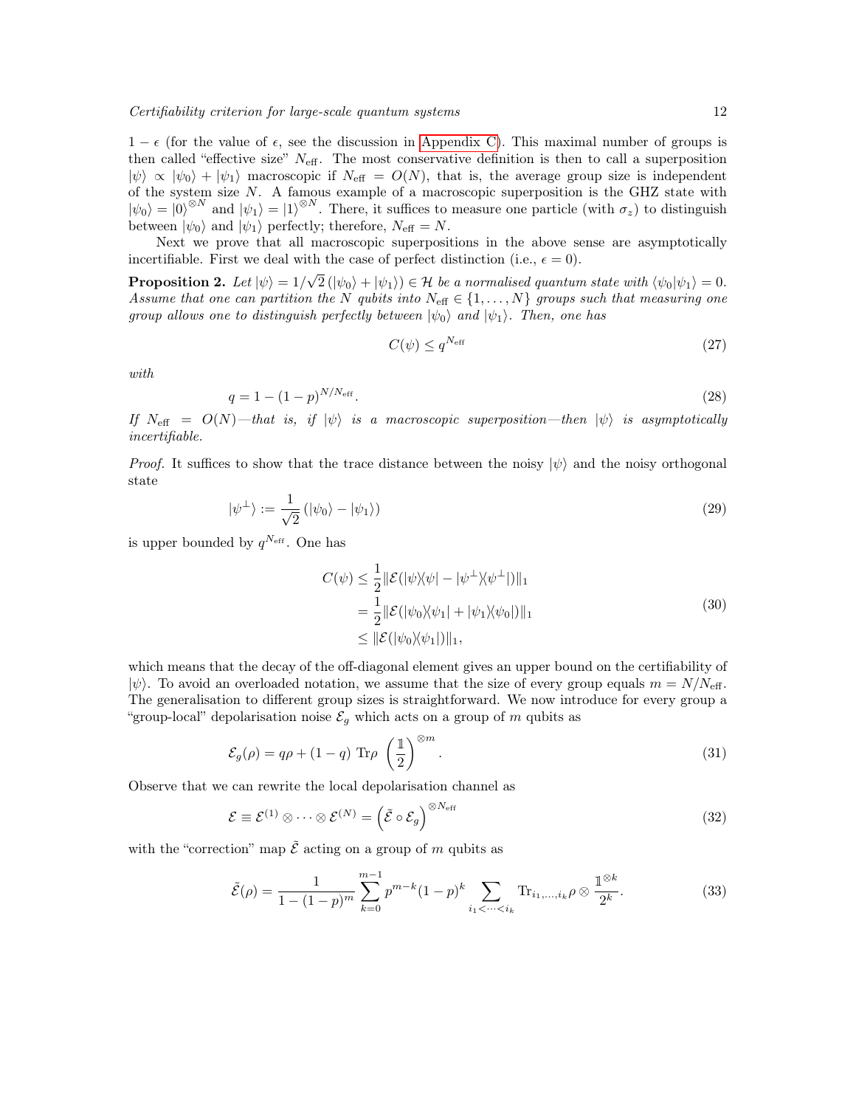$1 - \epsilon$  (for the value of  $\epsilon$ , see the discussion in [Appendix C\)](#page-18-0). This maximal number of groups is then called "effective size"  $N_{\text{eff}}$ . The most conservative definition is then to call a superposition  $|\psi\rangle \propto |\psi_0\rangle + |\psi_1\rangle$  macroscopic if  $N_{\text{eff}} = O(N)$ , that is, the average group size is independent of the system size  $N$ . A famous example of a macroscopic superposition is the GHZ state with  $|\psi_0\rangle = |0\rangle^{\otimes N}$  and  $|\psi_1\rangle = |1\rangle^{\otimes N}$ . There, it suffices to measure one particle (with  $\sigma_z$ ) to distinguish between  $|\psi_0\rangle$  and  $|\psi_1\rangle$  perfectly; therefore,  $N_{\text{eff}} = N$ .

Next we prove that all macroscopic superpositions in the above sense are asymptotically incertifiable. First we deal with the case of perfect distinction (i.e.,  $\epsilon = 0$ ). √

<span id="page-11-0"></span>**Proposition 2.** Let  $|\psi\rangle = 1/$  $2(\ket{\psi_0} + \ket{\psi_1}) \in \mathcal{H}$  be a normalised quantum state with  $\langle \psi_0 | \psi_1 \rangle = 0$ . Assume that one can partition the N qubits into  $N_{\text{eff}} \in \{1, \ldots, N\}$  groups such that measuring one group allows one to distinguish perfectly between  $|\psi_0\rangle$  and  $|\psi_1\rangle$ . Then, one has

$$
C(\psi) \le q^{N_{\text{eff}}} \tag{27}
$$

with

$$
q = 1 - (1 - p)^{N/N_{\text{eff}}}. \tag{28}
$$

If  $N_{\text{eff}} = O(N)$ —that is, if  $|\psi\rangle$  is a macroscopic superposition—then  $|\psi\rangle$  is asymptotically incertifiable.

*Proof.* It suffices to show that the trace distance between the noisy  $|\psi\rangle$  and the noisy orthogonal state

$$
|\psi^{\perp}\rangle := \frac{1}{\sqrt{2}} \left( |\psi_0\rangle - |\psi_1\rangle \right) \tag{29}
$$

<span id="page-11-1"></span>is upper bounded by  $q^{N_{\text{eff}}}$ . One has

$$
C(\psi) \le \frac{1}{2} \|\mathcal{E}(|\psi\rangle\langle\psi| - |\psi^{\perp}\rangle\langle\psi^{\perp}|)|_1
$$
  
= 
$$
\frac{1}{2} \|\mathcal{E}(|\psi_0\rangle\langle\psi_1| + |\psi_1\rangle\langle\psi_0|)|_1
$$
  

$$
\le \|\mathcal{E}(|\psi_0\rangle\langle\psi_1|)\|_1,
$$
 (30)

which means that the decay of the off-diagonal element gives an upper bound on the certifiability of  $|\psi\rangle$ . To avoid an overloaded notation, we assume that the size of every group equals  $m = N/N_{\text{eff}}$ . The generalisation to different group sizes is straightforward. We now introduce for every group a "group-local" depolarisation noise  $\mathcal{E}_g$  which acts on a group of m qubits as

$$
\mathcal{E}_g(\rho) = q\rho + (1 - q) \operatorname{Tr}\nolimits \rho \left(\frac{1}{2}\right)^{\otimes m}.
$$
\n(31)

Observe that we can rewrite the local depolarisation channel as

$$
\mathcal{E} \equiv \mathcal{E}^{(1)} \otimes \cdots \otimes \mathcal{E}^{(N)} = \left(\tilde{\mathcal{E}} \circ \mathcal{E}_g\right)^{\otimes N_{\text{eff}}} \tag{32}
$$

with the "correction" map  $\tilde{\mathcal{E}}$  acting on a group of m qubits as

$$
\tilde{\mathcal{E}}(\rho) = \frac{1}{1 - (1 - p)^m} \sum_{k=0}^{m-1} p^{m-k} (1 - p)^k \sum_{i_1 < \dots < i_k} \text{Tr}_{i_1, \dots, i_k} \rho \otimes \frac{\mathbb{1}^{\otimes k}}{2^k} . \tag{33}
$$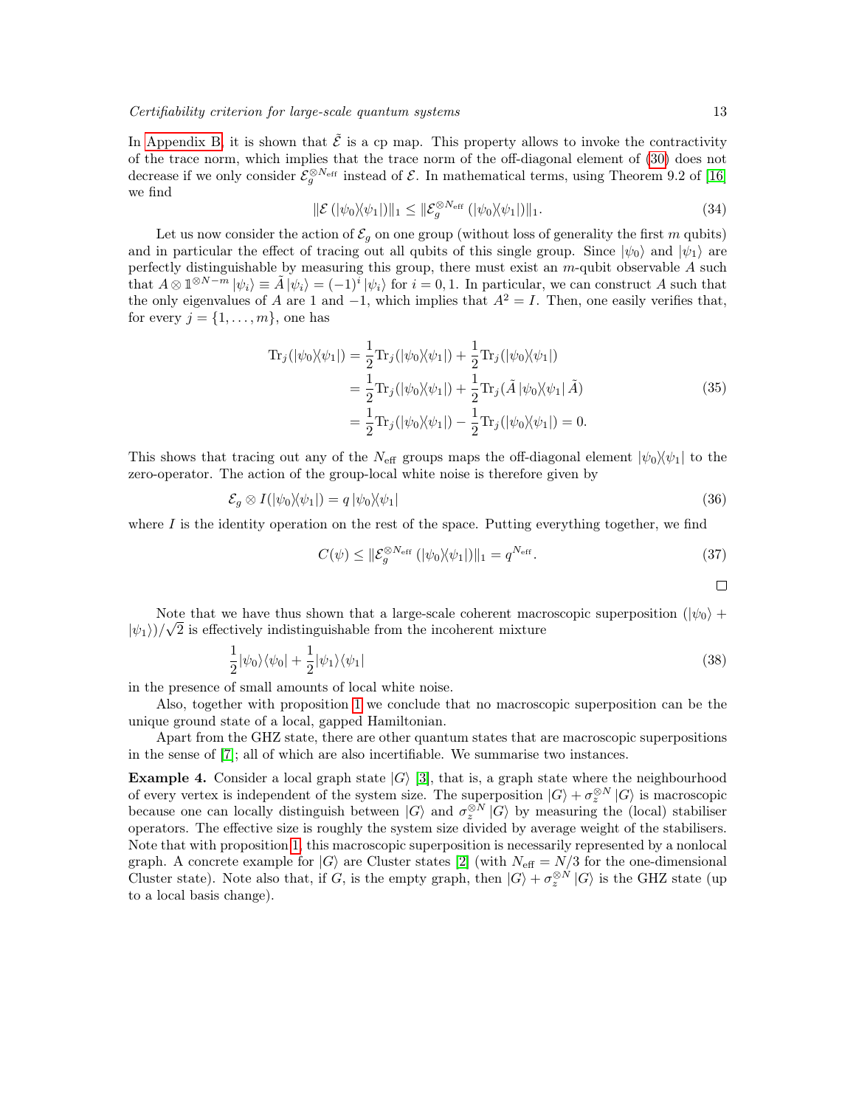In [Appendix B,](#page-17-0) it is shown that  $\tilde{\mathcal{E}}$  is a cp map. This property allows to invoke the contractivity of the trace norm, which implies that the trace norm of the off-diagonal element of [\(30\)](#page-11-1) does not decrease if we only consider  $\mathcal{E}_{g}^{\otimes N_{\text{eff}}}$  instead of  $\mathcal{E}$ . In mathematical terms, using Theorem 9.2 of [\[16\]](#page-20-12) we find

<span id="page-12-0"></span>
$$
\|\mathcal{E}\left(|\psi_0\rangle\langle\psi_1|\right)\|_1 \le \|\mathcal{E}_g^{\otimes N_{\rm eff}}\left(|\psi_0\rangle\langle\psi_1|\right)\|_1. \tag{34}
$$

Let us now consider the action of  $\mathcal{E}_g$  on one group (without loss of generality the first m qubits) and in particular the effect of tracing out all qubits of this single group. Since  $|\psi_0\rangle$  and  $|\psi_1\rangle$  are perfectly distinguishable by measuring this group, there must exist an  $m$ -qubit observable  $A$  such that  $A \otimes \mathbb{1}^{\otimes N-m} |\psi_i\rangle = \tilde{A} |\psi_i\rangle = (-1)^{\tilde{i}} |\psi_i\rangle$  for  $i = 0, 1$ . In particular, we can construct A such that the only eigenvalues of A are 1 and  $-1$ , which implies that  $A^2 = I$ . Then, one easily verifies that, for every  $j = \{1, \ldots, m\}$ , one has

$$
\mathrm{Tr}_{j}(|\psi_{0}\rangle\langle\psi_{1}|) = \frac{1}{2}\mathrm{Tr}_{j}(|\psi_{0}\rangle\langle\psi_{1}|) + \frac{1}{2}\mathrm{Tr}_{j}(|\psi_{0}\rangle\langle\psi_{1}|)
$$
\n
$$
= \frac{1}{2}\mathrm{Tr}_{j}(|\psi_{0}\rangle\langle\psi_{1}|) + \frac{1}{2}\mathrm{Tr}_{j}(\tilde{A}|\psi_{0}\rangle\langle\psi_{1}|\tilde{A})
$$
\n
$$
= \frac{1}{2}\mathrm{Tr}_{j}(|\psi_{0}\rangle\langle\psi_{1}|) - \frac{1}{2}\mathrm{Tr}_{j}(|\psi_{0}\rangle\langle\psi_{1}|) = 0.
$$
\n(35)

This shows that tracing out any of the N<sub>eff</sub> groups maps the off-diagonal element  $|\psi_0\rangle\langle\psi_1|$  to the zero-operator. The action of the group-local white noise is therefore given by

$$
\mathcal{E}_g \otimes I(|\psi_0\rangle\langle\psi_1|) = q |\psi_0\rangle\langle\psi_1| \tag{36}
$$

where  $I$  is the identity operation on the rest of the space. Putting everything together, we find

$$
C(\psi) \leq \|\mathcal{E}_g^{\otimes N_{\rm eff}}\left(|\psi_0\rangle\!\langle\psi_1|\right)\|_1 = q^{N_{\rm eff}}.\tag{37}
$$

 $\Box$ 

Note that we have thus shown that a large-scale coherent macroscopic superposition  $(|\psi_0\rangle +$  $|\psi_1\rangle$ )/ $\sqrt{2}$  is effectively indistinguishable from the incoherent mixture

$$
\frac{1}{2}|\psi_0\rangle\langle\psi_0| + \frac{1}{2}|\psi_1\rangle\langle\psi_1|
$$
\n(38)

in the presence of small amounts of local white noise.

Also, together with proposition [1](#page-8-2) we conclude that no macroscopic superposition can be the unique ground state of a local, gapped Hamiltonian.

Apart from the GHZ state, there are other quantum states that are macroscopic superpositions in the sense of [\[7\]](#page-20-3); all of which are also incertifiable. We summarise two instances.

**Example 4.** Consider a local graph state  $|G\rangle$  [\[3\]](#page-19-2), that is, a graph state where the neighbourhood of every vertex is independent of the system size. The superposition  $|G\rangle + \sigma_z^{\otimes N} |G\rangle$  is macroscopic because one can locally distinguish between  $|G\rangle$  and  $\sigma_z^{\otimes N} |G\rangle$  by measuring the (local) stabiliser operators. The effective size is roughly the system size divided by average weight of the stabilisers. Note that with proposition [1,](#page-8-2) this macroscopic superposition is necessarily represented by a nonlocal graph. A concrete example for  $|G\rangle$  are Cluster states [\[2\]](#page-19-1) (with  $N_{\text{eff}} = N/3$  for the one-dimensional Cluster state). Note also that, if G, is the empty graph, then  $|G\rangle + \sigma_z^{\otimes N} |G\rangle$  is the GHZ state (up to a local basis change).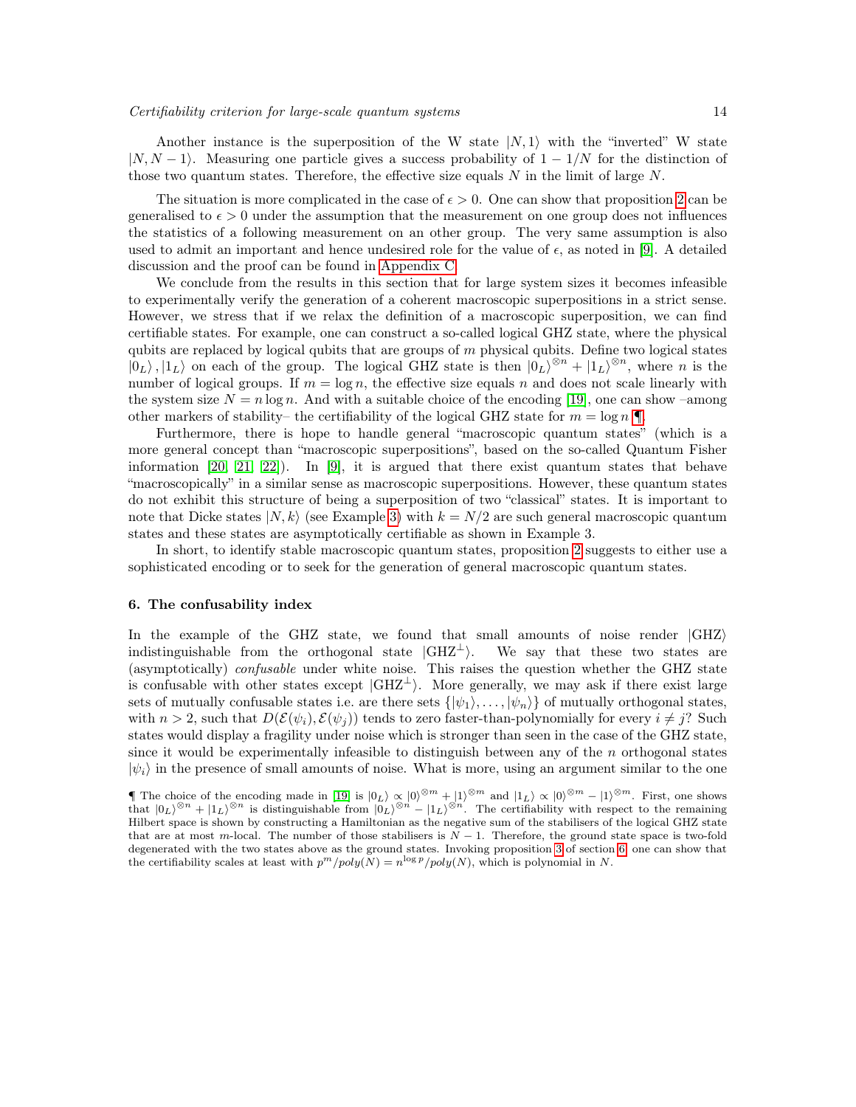Another instance is the superposition of the W state  $|N,1\rangle$  with the "inverted" W state  $|N, N-1\rangle$ . Measuring one particle gives a success probability of  $1 - 1/N$  for the distinction of those two quantum states. Therefore, the effective size equals  $N$  in the limit of large  $N$ .

The situation is more complicated in the case of  $\epsilon > 0$ . One can show that proposition [2](#page-11-0) can be generalised to  $\epsilon > 0$  under the assumption that the measurement on one group does not influences the statistics of a following measurement on an other group. The very same assumption is also used to admit an important and hence undesired role for the value of  $\epsilon$ , as noted in [\[9\]](#page-20-5). A detailed discussion and the proof can be found in [Appendix C.](#page-18-0)

We conclude from the results in this section that for large system sizes it becomes infeasible to experimentally verify the generation of a coherent macroscopic superpositions in a strict sense. However, we stress that if we relax the definition of a macroscopic superposition, we can find certifiable states. For example, one can construct a so-called logical GHZ state, where the physical qubits are replaced by logical qubits that are groups of  $m$  physical qubits. Define two logical states  $|0_L\rangle, |1_L\rangle$  on each of the group. The logical GHZ state is then  $|0_L\rangle^{\otimes n} + |1_L\rangle^{\otimes n}$ , where *n* is the number of logical groups. If  $m = \log n$ , the effective size equals n and does not scale linearly with the system size  $N = n \log n$ . And with a suitable choice of the encoding [\[19\]](#page-20-15), one can show –among other markers of stability– the certifiability of the logical GHZ state for  $m = \log n$ .

Furthermore, there is hope to handle general "macroscopic quantum states" (which is a more general concept than "macroscopic superpositions", based on the so-called Quantum Fisher information [\[20,](#page-20-16) [21,](#page-20-17) [22\]](#page-20-18)). In [\[9\]](#page-20-5), it is argued that there exist quantum states that behave "macroscopically" in a similar sense as macroscopic superpositions. However, these quantum states do not exhibit this structure of being a superposition of two "classical" states. It is important to note that Dicke states  $|N, k\rangle$  (see Example [3\)](#page-9-0) with  $k = N/2$  are such general macroscopic quantum states and these states are asymptotically certifiable as shown in Example 3.

In short, to identify stable macroscopic quantum states, proposition [2](#page-11-0) suggests to either use a sophisticated encoding or to seek for the generation of general macroscopic quantum states.

#### <span id="page-13-0"></span>6. The confusability index

In the example of the GHZ state, we found that small amounts of noise render  $|GHZ\rangle$ indistinguishable from the orthogonal state  $|GHZ^{\perp}\rangle$ . We say that these two states are (asymptotically) confusable under white noise. This raises the question whether the GHZ state is confusable with other states except  $|GHZ^{\perp}\rangle$ . More generally, we may ask if there exist large sets of mutually confusable states i.e. are there sets  $\{|\psi_1\rangle, \ldots, |\psi_n\rangle\}$  of mutually orthogonal states, with  $n > 2$ , such that  $D(\mathcal{E}(\psi_i), \mathcal{E}(\psi_j))$  tends to zero faster-than-polynomially for every  $i \neq j$ ? Such states would display a fragility under noise which is stronger than seen in the case of the GHZ state, since it would be experimentally infeasible to distinguish between any of the  $n$  orthogonal states  $|\psi_i\rangle$  in the presence of small amounts of noise. What is more, using an argument similar to the one

<span id="page-13-1"></span>The choice of the encoding made in [\[19\]](#page-20-15) is  $|0_L\rangle \propto |0\rangle^{\otimes m} + |1\rangle^{\otimes m}$  and  $|1_L\rangle \propto |0\rangle^{\otimes m} - |1\rangle^{\otimes m}$ . First, one shows that  $|0_L\rangle^{\otimes n} + |1_L\rangle^{\otimes n}$  is distinguishable from  $|0_L\rangle^{\otimes n} - |1_L\rangle^{\otimes n}$ . The certifiability with respect to the remaining Hilbert space is shown by constructing a Hamiltonian as the negative sum of the stabilisers of the logical GHZ state that are at most m-local. The number of those stabilisers is  $N - 1$ . Therefore, the ground state space is two-fold degenerated with the two states above as the ground states. Invoking proposition [3](#page-15-1) of section [6,](#page-13-0) one can show that the certifiability scales at least with  $p^m/poly(N) = n^{\log p}/poly(N)$ , which is polynomial in N.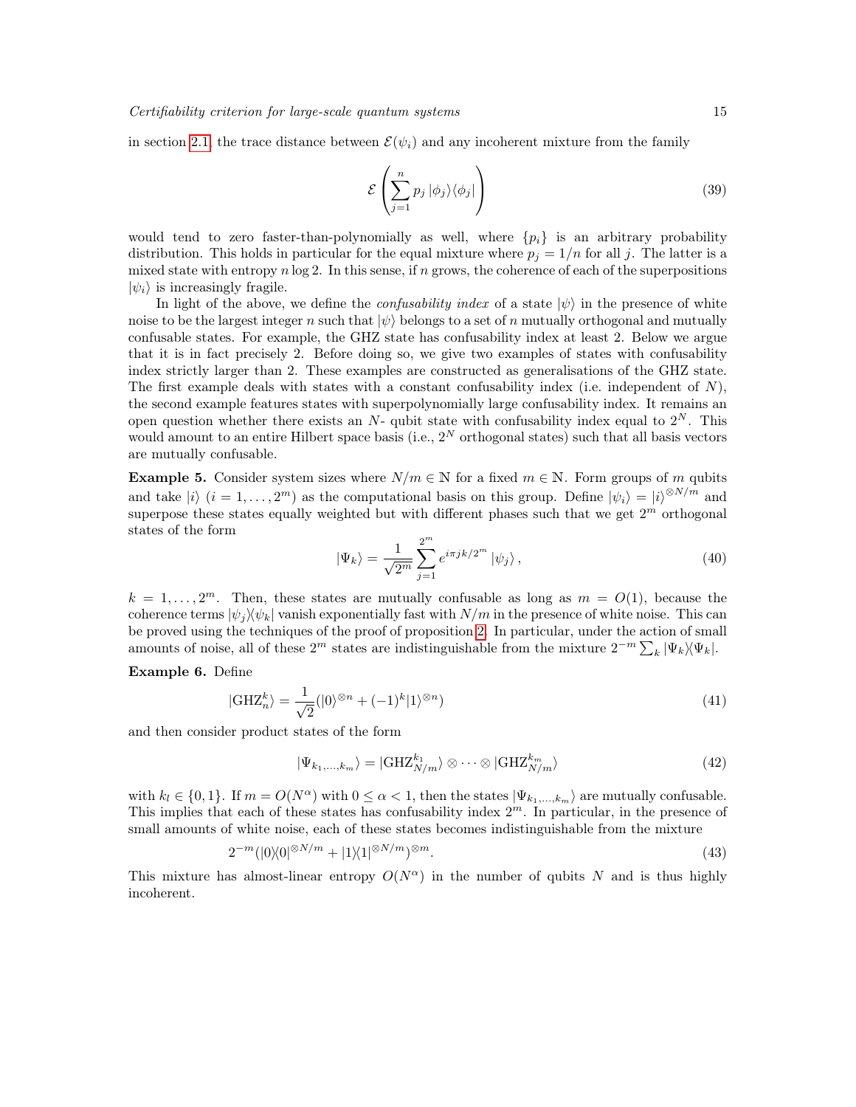in section [2.1,](#page-2-1) the trace distance between  $\mathcal{E}(\psi_i)$  and any incoherent mixture from the family

$$
\mathcal{E}\left(\sum_{j=1}^{n} p_j |\phi_j\rangle\langle\phi_j|\right) \tag{39}
$$

would tend to zero faster-than-polynomially as well, where  $\{p_i\}$  is an arbitrary probability distribution. This holds in particular for the equal mixture where  $p_i = 1/n$  for all j. The latter is a mixed state with entropy  $n \log 2$ . In this sense, if n grows, the coherence of each of the superpositions  $|\psi_i\rangle$  is increasingly fragile.

In light of the above, we define the *confusability index* of a state  $|\psi\rangle$  in the presence of white noise to be the largest integer n such that  $|\psi\rangle$  belongs to a set of n mutually orthogonal and mutually confusable states. For example, the GHZ state has confusability index at least 2. Below we argue that it is in fact precisely 2. Before doing so, we give two examples of states with confusability index strictly larger than 2. These examples are constructed as generalisations of the GHZ state. The first example deals with states with a constant confusability index (i.e. independent of  $N$ ), the second example features states with superpolynomially large confusability index. It remains an open question whether there exists an  $N$ - qubit state with confusability index equal to  $2^N$ . This would amount to an entire Hilbert space basis (i.e.,  $2^N$  orthogonal states) such that all basis vectors are mutually confusable.

**Example 5.** Consider system sizes where  $N/m \in \mathbb{N}$  for a fixed  $m \in \mathbb{N}$ . Form groups of m qubits and take  $|i\rangle$   $(i = 1, ..., 2<sup>m</sup>)$  as the computational basis on this group. Define  $|\psi_i\rangle = |i\rangle^{\otimes N/m}$  and superpose these states equally weighted but with different phases such that we get  $2<sup>m</sup>$  orthogonal states of the form

$$
|\Psi_k\rangle = \frac{1}{\sqrt{2^m}} \sum_{j=1}^{2^m} e^{i\pi j k/2^m} |\psi_j\rangle, \qquad (40)
$$

 $k = 1, \ldots, 2^m$ . Then, these states are mutually confusable as long as  $m = O(1)$ , because the coherence terms  $|\psi_i\rangle\langle\psi_k|$  vanish exponentially fast with  $N/m$  in the presence of white noise. This can be proved using the techniques of the proof of proposition [2.](#page-11-0) In particular, under the action of small amounts of noise, all of these  $2^m$  states are indistinguishable from the mixture  $2^{-m} \sum_k |\Psi_k\rangle\!\langle\Psi_k|$ .

## Example 6. Define

$$
|\text{GHZ}_n^k\rangle = \frac{1}{\sqrt{2}} (|0\rangle^{\otimes n} + (-1)^k |1\rangle^{\otimes n})
$$
\n(41)

and then consider product states of the form

$$
|\Psi_{k_1,\dots,k_m}\rangle = |GHZ_{N/m}^{k_1}\rangle \otimes \dots \otimes |GHZ_{N/m}^{k_m}\rangle \tag{42}
$$

with  $k_l \in \{0, 1\}$ . If  $m = O(N^{\alpha})$  with  $0 \leq \alpha < 1$ , then the states  $|\Psi_{k_1,...,k_m}\rangle$  are mutually confusable. This implies that each of these states has confusability index  $2<sup>m</sup>$ . In particular, in the presence of small amounts of white noise, each of these states becomes indistinguishable from the mixture

$$
2^{-m}(|0\rangle\langle 0|^{\otimes N/m} + |1\rangle\langle 1|^{\otimes N/m})^{\otimes m}.\tag{43}
$$

This mixture has almost-linear entropy  $O(N^{\alpha})$  in the number of qubits N and is thus highly incoherent.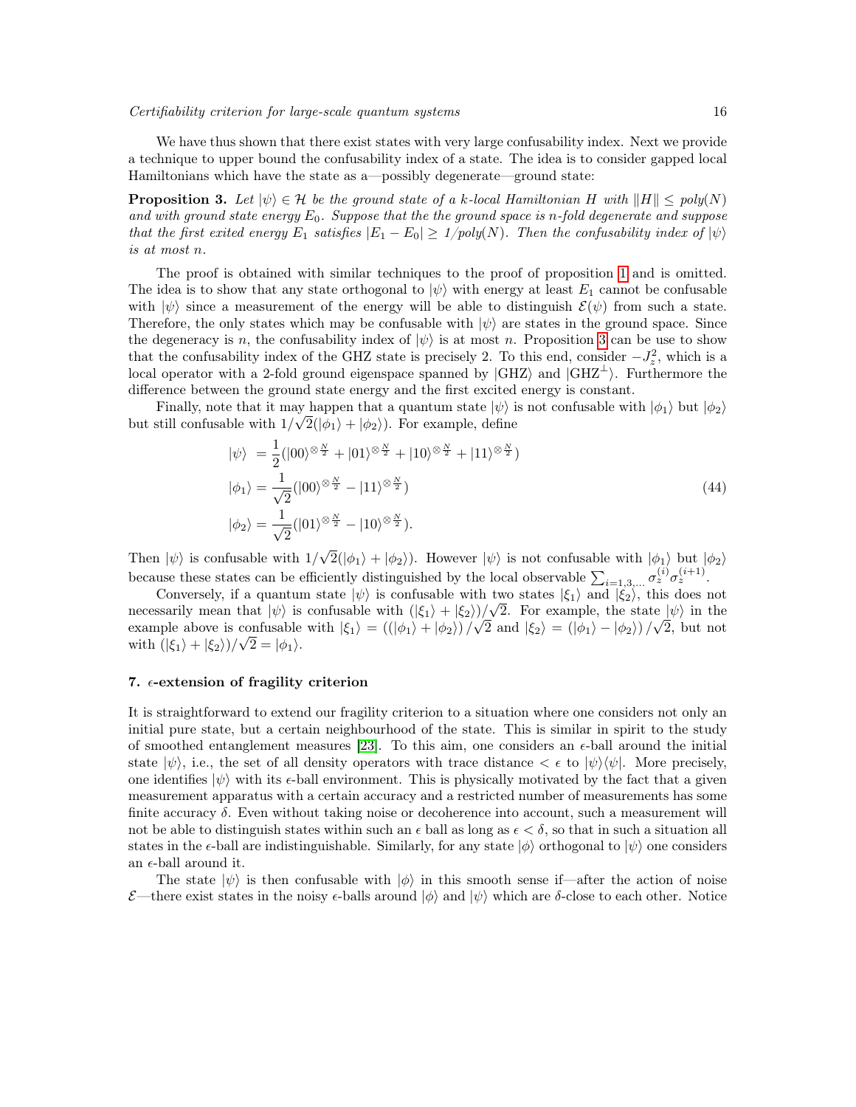We have thus shown that there exist states with very large confusability index. Next we provide a technique to upper bound the confusability index of a state. The idea is to consider gapped local Hamiltonians which have the state as a—possibly degenerate—ground state:

<span id="page-15-1"></span>**Proposition 3.** Let  $|\psi\rangle \in \mathcal{H}$  be the ground state of a k-local Hamiltonian H with  $||H|| \leq poly(N)$ and with ground state energy  $E_0$ . Suppose that the the ground space is n-fold degenerate and suppose that the first exited energy  $E_1$  satisfies  $|E_1 - E_0| \ge 1/poly(N)$ . Then the confusability index of  $|\psi\rangle$ is at most n.

The proof is obtained with similar techniques to the proof of proposition [1](#page-8-2) and is omitted. The idea is to show that any state orthogonal to  $|\psi\rangle$  with energy at least  $E_1$  cannot be confusable with  $|\psi\rangle$  since a measurement of the energy will be able to distinguish  $\mathcal{E}(\psi)$  from such a state. Therefore, the only states which may be confusable with  $|\psi\rangle$  are states in the ground space. Since the degeneracy is n, the confusability index of  $|\psi\rangle$  is at most n. Proposition [3](#page-15-1) can be use to show that the confusability index of the GHZ state is precisely 2. To this end, consider  $-J_z^2$ , which is a local operator with a 2-fold ground eigenspace spanned by  $|GHZ\rangle$  and  $|GHZ^{\perp}\rangle$ . Furthermore the difference between the ground state energy and the first excited energy is constant.

Finally, note that it may happen that a quantum state  $|\psi\rangle$  is not confusable with  $|\phi_1\rangle$  but  $|\phi_2\rangle$ but still confusable with  $1/\sqrt{2(\vert \phi_1 \rangle + \vert \phi_2 \rangle})$ . For example, define

$$
|\psi\rangle = \frac{1}{2}(|00\rangle^{\otimes \frac{N}{2}} + |01\rangle^{\otimes \frac{N}{2}} + |10\rangle^{\otimes \frac{N}{2}} + |11\rangle^{\otimes \frac{N}{2}})
$$
  

$$
|\phi_1\rangle = \frac{1}{\sqrt{2}}(|00\rangle^{\otimes \frac{N}{2}} - |11\rangle^{\otimes \frac{N}{2}})
$$
  

$$
|\phi_2\rangle = \frac{1}{\sqrt{2}}(|01\rangle^{\otimes \frac{N}{2}} - |10\rangle^{\otimes \frac{N}{2}}).
$$
 (44)

Then  $|\psi\rangle$  is confusable with  $1/$ √  $2(|\phi_1\rangle + |\phi_2\rangle)$ . However  $|\psi\rangle$  is not confusable with  $|\phi_1\rangle$  but  $|\phi_2\rangle$ because these states can be efficiently distinguished by the local observable  $\sum_{i=1,3,...} \sigma_z^{(i)} \sigma_z^{(i+1)}$ .

Conversely, if a quantum state  $|\psi\rangle$  is confusable with two states  $|\xi_1\rangle$  and  $|\xi_2\rangle$ , this does not necessarily mean that  $|\psi\rangle$  is confusable with  $(|\xi_1\rangle + |\xi_2\rangle)/\sqrt{2}$ . For example, the state  $|\psi\rangle$  in the example above is confusable with  $|\xi_1\rangle = ((|\phi_1\rangle + |\phi_2\rangle) /$ √ 2 and  $|\xi_2\rangle = (|\phi_1\rangle - |\phi_2\rangle)/$ √ confusable with  $|\xi_1\rangle = ((|\phi_1\rangle + |\phi_2\rangle)/\sqrt{2}$  and  $|\xi_2\rangle = (|\phi_1\rangle - |\phi_2\rangle)/\sqrt{2}$ , but not with  $(|\xi_1\rangle + |\xi_2\rangle)/\sqrt{2} = |\phi_1\rangle$ .

# <span id="page-15-0"></span>7.  $\epsilon$ -extension of fragility criterion

It is straightforward to extend our fragility criterion to a situation where one considers not only an initial pure state, but a certain neighbourhood of the state. This is similar in spirit to the study of smoothed entanglement measures [\[23\]](#page-20-19). To this aim, one considers an  $\epsilon$ -ball around the initial state  $|\psi\rangle$ , i.e., the set of all density operators with trace distance  $\langle \epsilon \epsilon \rangle$  to  $|\psi\rangle\langle \psi|$ . More precisely, one identifies  $|\psi\rangle$  with its  $\epsilon$ -ball environment. This is physically motivated by the fact that a given measurement apparatus with a certain accuracy and a restricted number of measurements has some finite accuracy  $\delta$ . Even without taking noise or decoherence into account, such a measurement will not be able to distinguish states within such an  $\epsilon$  ball as long as  $\epsilon < \delta$ , so that in such a situation all states in the  $\epsilon$ -ball are indistinguishable. Similarly, for any state  $|\phi\rangle$  orthogonal to  $|\psi\rangle$  one considers an  $\epsilon$ -ball around it.

The state  $|\psi\rangle$  is then confusable with  $|\phi\rangle$  in this smooth sense if—after the action of noise  $\mathcal{E}-$ there exist states in the noisy  $\epsilon$ -balls around  $|\phi\rangle$  and  $|\psi\rangle$  which are  $\delta$ -close to each other. Notice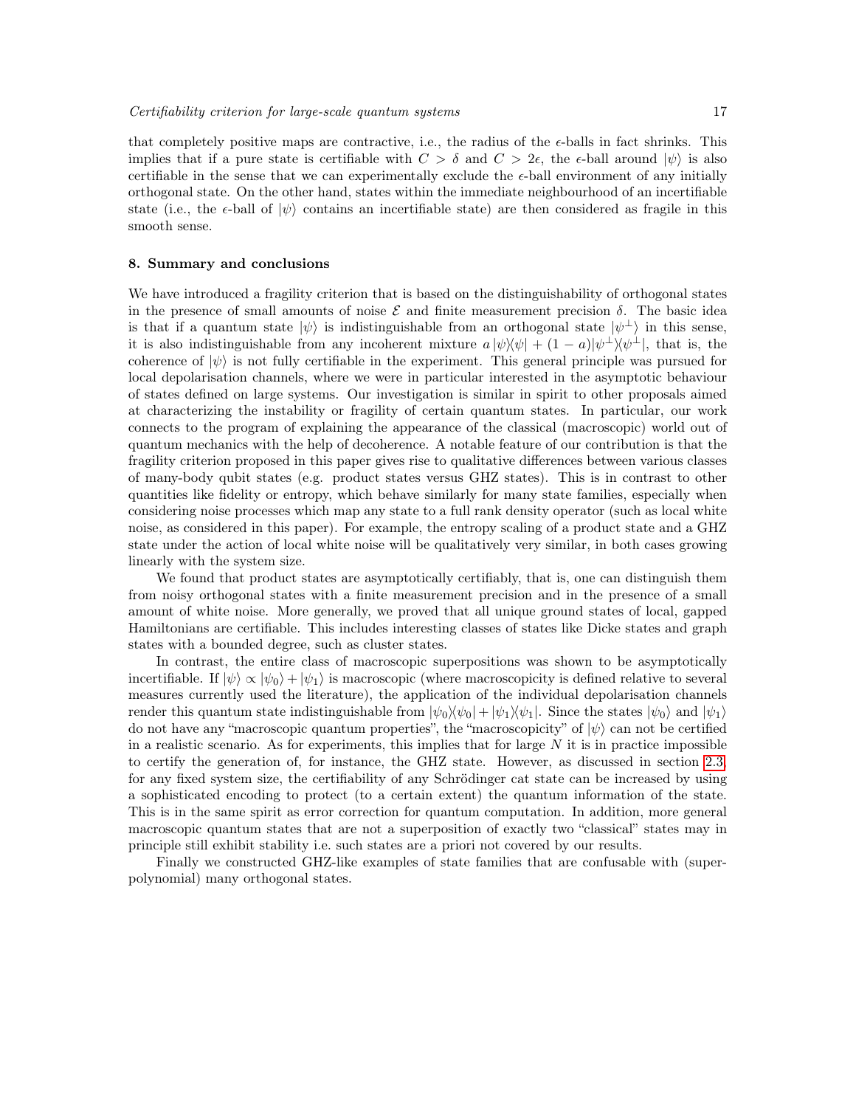that completely positive maps are contractive, i.e., the radius of the  $\epsilon$ -balls in fact shrinks. This implies that if a pure state is certifiable with  $C > \delta$  and  $C > 2\epsilon$ , the  $\epsilon$ -ball around  $|\psi\rangle$  is also certifiable in the sense that we can experimentally exclude the  $\epsilon$ -ball environment of any initially orthogonal state. On the other hand, states within the immediate neighbourhood of an incertifiable state (i.e., the  $\epsilon$ -ball of  $|\psi\rangle$  contains an incertifiable state) are then considered as fragile in this smooth sense.

## <span id="page-16-0"></span>8. Summary and conclusions

We have introduced a fragility criterion that is based on the distinguishability of orthogonal states in the presence of small amounts of noise  $\mathcal E$  and finite measurement precision  $\delta$ . The basic idea is that if a quantum state  $|\psi\rangle$  is indistinguishable from an orthogonal state  $|\psi^{\perp}\rangle$  in this sense, it is also indistinguishable from any incoherent mixture  $a|\psi\rangle\langle\psi| + (1-a)|\psi^{\perp}\rangle\langle\psi^{\perp}|$ , that is, the coherence of  $|\psi\rangle$  is not fully certifiable in the experiment. This general principle was pursued for local depolarisation channels, where we were in particular interested in the asymptotic behaviour of states defined on large systems. Our investigation is similar in spirit to other proposals aimed at characterizing the instability or fragility of certain quantum states. In particular, our work connects to the program of explaining the appearance of the classical (macroscopic) world out of quantum mechanics with the help of decoherence. A notable feature of our contribution is that the fragility criterion proposed in this paper gives rise to qualitative differences between various classes of many-body qubit states (e.g. product states versus GHZ states). This is in contrast to other quantities like fidelity or entropy, which behave similarly for many state families, especially when considering noise processes which map any state to a full rank density operator (such as local white noise, as considered in this paper). For example, the entropy scaling of a product state and a GHZ state under the action of local white noise will be qualitatively very similar, in both cases growing linearly with the system size.

We found that product states are asymptotically certifiably, that is, one can distinguish them from noisy orthogonal states with a finite measurement precision and in the presence of a small amount of white noise. More generally, we proved that all unique ground states of local, gapped Hamiltonians are certifiable. This includes interesting classes of states like Dicke states and graph states with a bounded degree, such as cluster states.

In contrast, the entire class of macroscopic superpositions was shown to be asymptotically incertifiable. If  $|\psi\rangle \propto |\psi_0\rangle + |\psi_1\rangle$  is macroscopic (where macroscopicity is defined relative to several measures currently used the literature), the application of the individual depolarisation channels render this quantum state indistinguishable from  $|\psi_0\rangle\langle\psi_0| + |\psi_1\rangle\langle\psi_1|$ . Since the states  $|\psi_0\rangle$  and  $|\psi_1\rangle$ do not have any "macroscopic quantum properties", the "macroscopicity" of  $|\psi\rangle$  can not be certified in a realistic scenario. As for experiments, this implies that for large  $N$  it is in practice impossible to certify the generation of, for instance, the GHZ state. However, as discussed in section [2.3,](#page-5-0) for any fixed system size, the certifiability of any Schrödinger cat state can be increased by using a sophisticated encoding to protect (to a certain extent) the quantum information of the state. This is in the same spirit as error correction for quantum computation. In addition, more general macroscopic quantum states that are not a superposition of exactly two "classical" states may in principle still exhibit stability i.e. such states are a priori not covered by our results.

Finally we constructed GHZ-like examples of state families that are confusable with (superpolynomial) many orthogonal states.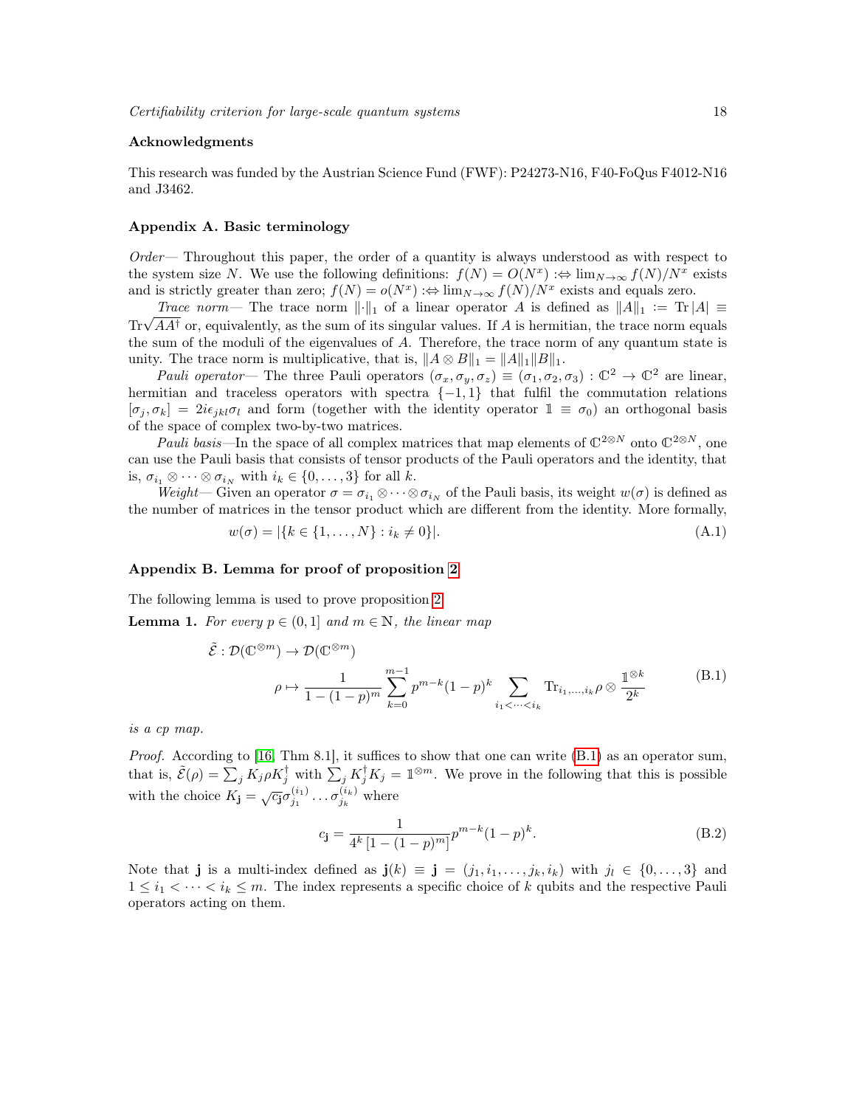### Acknowledgments

This research was funded by the Austrian Science Fund (FWF): P24273-N16, F40-FoQus F4012-N16 and J3462.

## Appendix A. Basic terminology

Order— Throughout this paper, the order of a quantity is always understood as with respect to the system size N. We use the following definitions:  $f(N) = O(N^x)$  : $\Leftrightarrow \lim_{N \to \infty} f(N)/N^x$  exists and is strictly greater than zero;  $f(N) = o(N^x)$  : $\Leftrightarrow \lim_{N \to \infty} f(N)/N^x$  exists and equals zero.

Trace norm— The trace norm  $\lVert \cdot \rVert_1$  of a linear operator A is defined as  $\lVert A \rVert_1 := \text{Tr}|A| \equiv$ Truce norm— The trace norm  $||\cdot||_1$  or a linear operator A is defined as  $||A||_1 := \text{Tr}|A| = \text{Tr}\sqrt{AA^{\dagger}}$  or, equivalently, as the sum of its singular values. If A is hermitian, the trace norm equals the sum of the moduli of the eigenvalues of A. Therefore, the trace norm of any quantum state is unity. The trace norm is multiplicative, that is,  $||A \otimes B||_1 = ||A||_1 ||B||_1$ .

*Pauli operator*— The three Pauli operators  $(\sigma_x, \sigma_y, \sigma_z) \equiv (\sigma_1, \sigma_2, \sigma_3) : \mathbb{C}^2 \to \mathbb{C}^2$  are linear, hermitian and traceless operators with spectra  $\{-1,1\}$  that fulfil the commutation relations  $[\sigma_i, \sigma_k] = 2i\epsilon_{ikl}\sigma_l$  and form (together with the identity operator  $\mathbb{1} \equiv \sigma_0$ ) an orthogonal basis of the space of complex two-by-two matrices.

Pauli basis—In the space of all complex matrices that map elements of  $\mathbb{C}^{2\otimes N}$  onto  $\mathbb{C}^{2\otimes N}$ , one can use the Pauli basis that consists of tensor products of the Pauli operators and the identity, that is,  $\sigma_{i_1} \otimes \cdots \otimes \sigma_{i_N}$  with  $i_k \in \{0, \ldots, 3\}$  for all k.

Weight— Given an operator  $\sigma = \sigma_{i_1} \otimes \cdots \otimes \sigma_{i_N}$  of the Pauli basis, its weight  $w(\sigma)$  is defined as the number of matrices in the tensor product which are different from the identity. More formally,

$$
w(\sigma) = |\{k \in \{1, \dots, N\} : i_k \neq 0\}|. \tag{A.1}
$$

## <span id="page-17-0"></span>Appendix B. Lemma for proof of proposition [2](#page-11-0)

The following lemma is used to prove proposition [2.](#page-11-0)

<span id="page-17-1"></span>**Lemma 1.** For every  $p \in (0,1]$  and  $m \in \mathbb{N}$ , the linear map

$$
\tilde{\mathcal{E}} : \mathcal{D}(\mathbb{C}^{\otimes m}) \to \mathcal{D}(\mathbb{C}^{\otimes m})
$$
\n
$$
\rho \mapsto \frac{1}{1 - (1 - p)^m} \sum_{k=0}^{m-1} p^{m-k} (1 - p)^k \sum_{i_1 < \dots < i_k} \text{Tr}_{i_1, \dots, i_k} \rho \otimes \frac{\mathbb{1}^{\otimes k}}{2^k} \tag{B.1}
$$

is a cp map.

*Proof.* According to [\[16,](#page-20-12) Thm 8.1], it suffices to show that one can write  $(B.1)$  as an operator sum, that is,  $\tilde{\mathcal{E}}(\rho) = \sum_j K_j \rho K_j^{\dagger}$  with  $\sum_j K_j^{\dagger} K_j = \mathbb{1}^{\otimes m}$ . We prove in the following that this is possible with the choice  $K_{\mathbf{j}} = \sqrt{c_{\mathbf{j}}}\sigma_{j_1}^{(i_1)}\dots\sigma_{j_k}^{(i_k)}$  where

$$
c_{\mathbf{j}} = \frac{1}{4^k \left[ 1 - (1 - p)^m \right]} p^{m - k} (1 - p)^k.
$$
 (B.2)

Note that j is a multi-index defined as  $j(k) \equiv j = (j_1, i_1, \ldots, j_k, i_k)$  with  $j_l \in \{0, \ldots, 3\}$  and  $1 \leq i_1 < \cdots < i_k \leq m$ . The index represents a specific choice of k qubits and the respective Pauli operators acting on them.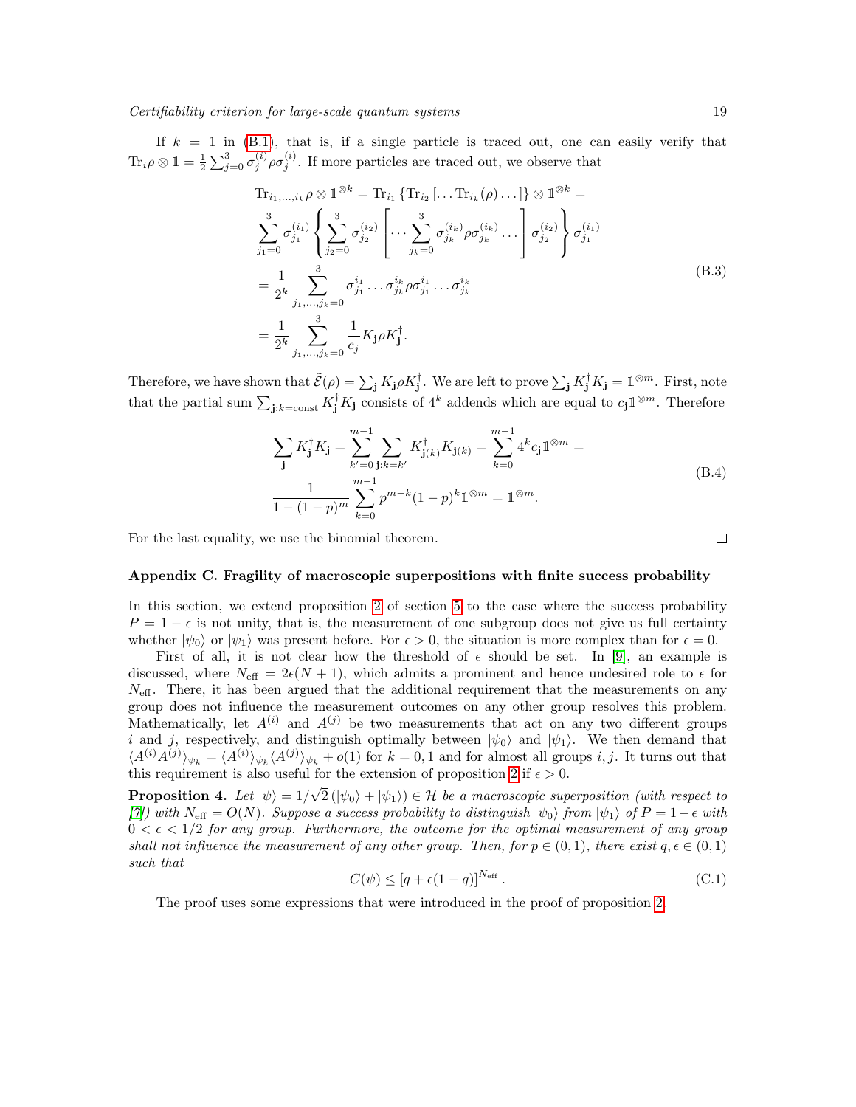If  $k = 1$  in  $(B.1)$ , that is, if a single particle is traced out, one can easily verify that  $\text{Tr}_i \rho \otimes \mathbb{1} = \frac{1}{2} \sum_{j=0}^3 \sigma_j^{(i)} \rho \sigma_j^{(i)}$ . If more particles are traced out, we observe that

$$
\begin{split}\n\text{Tr}_{i_1,\dots,i_k} \rho \otimes \mathbb{1}^{\otimes k} &= \text{Tr}_{i_1} \{ \text{Tr}_{i_2} \left[ \dots \text{Tr}_{i_k} (\rho) \dots \right] \} \otimes \mathbb{1}^{\otimes k} = \\
&\sum_{j_1=0}^3 \sigma_{j_1}^{(i_1)} \left\{ \sum_{j_2=0}^3 \sigma_{j_2}^{(i_2)} \left[ \dots \sum_{j_k=0}^3 \sigma_{j_k}^{(i_k)} \rho \sigma_{j_k}^{(i_k)} \dots \right] \sigma_{j_2}^{(i_2)} \right\} \sigma_{j_1}^{(i_1)} \\
&= \frac{1}{2^k} \sum_{j_1,\dots,j_k=0}^3 \sigma_{j_1}^{i_1} \dots \sigma_{j_k}^{i_k} \rho \sigma_{j_1}^{i_1} \dots \sigma_{j_k}^{i_k} \\
&= \frac{1}{2^k} \sum_{j_1,\dots,j_k=0}^3 \frac{1}{c_j} K_{\mathbf{j}} \rho K_{\mathbf{j}}^{\dagger}.\n\end{split} \tag{B.3}
$$

Therefore, we have shown that  $\tilde{\mathcal{E}}(\rho) = \sum_{\mathbf{j}} K_{\mathbf{j}} \rho K_{\mathbf{j}}^{\dagger}$ . We are left to prove  $\sum_{\mathbf{j}} K_{\mathbf{j}}^{\dagger} K_{\mathbf{j}} = \mathbb{1}^{\otimes m}$ . First, note that the partial sum  $\sum_{\mathbf{j}:k=\text{const}} K_{\mathbf{j}}^{\dagger} K_{\mathbf{j}}$  consists of  $4^k$  addends which are equal to  $c_{\mathbf{j}} 1^{\otimes m}$ . Therefore

$$
\sum_{\mathbf{j}} K_{\mathbf{j}}^{\dagger} K_{\mathbf{j}} = \sum_{k'=0}^{m-1} \sum_{\mathbf{j}:k=k'} K_{\mathbf{j}(k)}^{\dagger} K_{\mathbf{j}(k)} = \sum_{k=0}^{m-1} 4^k c_{\mathbf{j}} \mathbb{1}^{\otimes m} =
$$
\n
$$
\frac{1}{1 - (1-p)^m} \sum_{k=0}^{m-1} p^{m-k} (1-p)^k \mathbb{1}^{\otimes m} = \mathbb{1}^{\otimes m}.
$$
\n(B.4)

For the last equality, we use the binomial theorem.

 $\Box$ 

# <span id="page-18-0"></span>Appendix C. Fragility of macroscopic superpositions with finite success probability

In this section, we extend proposition [2](#page-11-0) of section [5](#page-10-0) to the case where the success probability  $P = 1 - \epsilon$  is not unity, that is, the measurement of one subgroup does not give us full certainty whether  $|\psi_0\rangle$  or  $|\psi_1\rangle$  was present before. For  $\epsilon > 0$ , the situation is more complex than for  $\epsilon = 0$ .

First of all, it is not clear how the threshold of  $\epsilon$  should be set. In [\[9\]](#page-20-5), an example is discussed, where  $N_{\text{eff}} = 2\epsilon (N + 1)$ , which admits a prominent and hence undesired role to  $\epsilon$  for  $N_{\text{eff}}$ . There, it has been argued that the additional requirement that the measurements on any group does not influence the measurement outcomes on any other group resolves this problem. Mathematically, let  $A^{(i)}$  and  $A^{(j)}$  be two measurements that act on any two different groups i and j, respectively, and distinguish optimally between  $|\psi_0\rangle$  and  $|\psi_1\rangle$ . We then demand that  $\langle A^{(i)}A^{(j)}\rangle_{\psi_k} = \langle A^{(i)}\rangle_{\psi_k} \langle A^{(j)}\rangle_{\psi_k} + o(1)$  for  $k = 0, 1$  and for almost all groups i, j. It turns out that this requirement is also useful for the extension of proposition [2](#page-11-0) if  $\epsilon > 0$ . √

**Proposition 4.** Let  $|\psi\rangle = 1/$  $2(\ket{\psi_0} + \ket{\psi_1}) \in \mathcal{H}$  be a macroscopic superposition (with respect to [\[7\]](#page-20-3)) with Neff =  $O(N)$ . Suppose a success probability to distinguish  $|\psi_0\rangle$  from  $|\psi_1\rangle$  of  $P = 1 - \epsilon$  with  $0 < \epsilon < 1/2$  for any group. Furthermore, the outcome for the optimal measurement of any group shall not influence the measurement of any other group. Then, for  $p \in (0,1)$ , there exist  $q, \epsilon \in (0,1)$ such that

$$
C(\psi) \le [q + \epsilon (1 - q)]^{N_{\text{eff}}} \,. \tag{C.1}
$$

The proof uses some expressions that were introduced in the proof of proposition [2.](#page-11-0)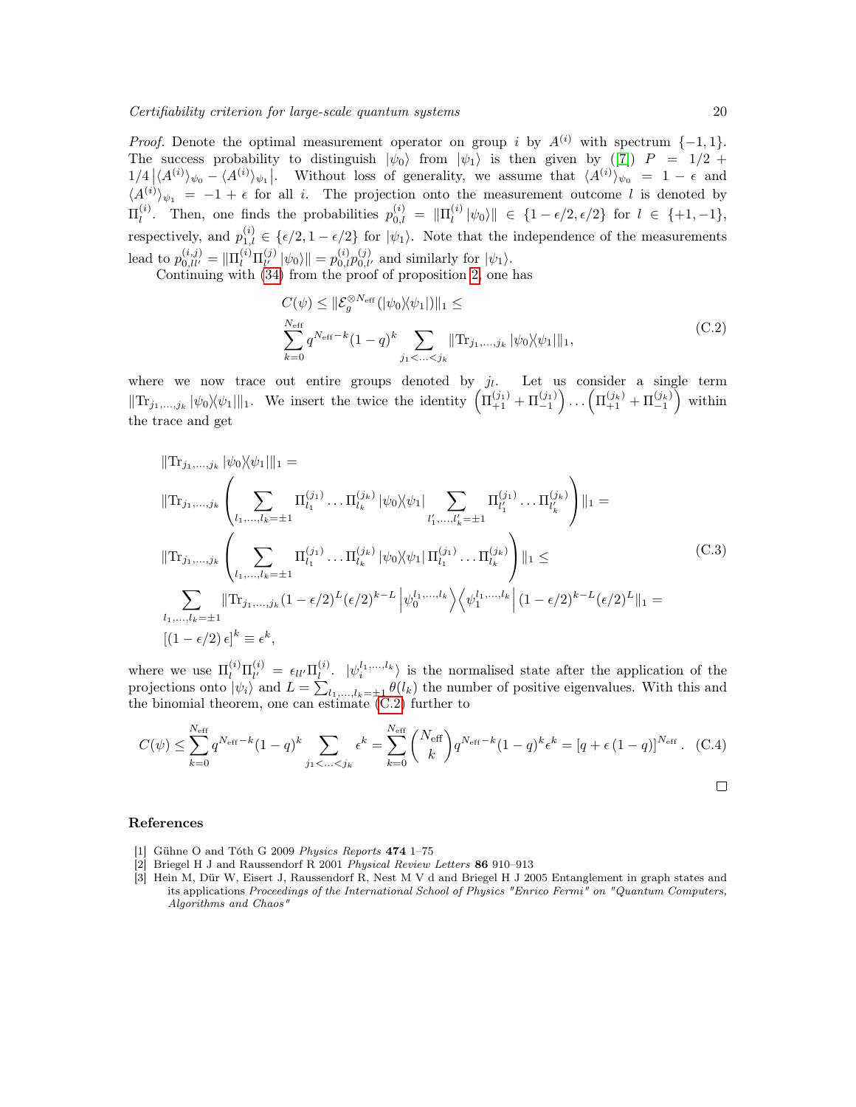*Proof.* Denote the optimal measurement operator on group i by  $A^{(i)}$  with spectrum  $\{-1, 1\}$ . The success probability to distinguish  $|\psi_0\rangle$  from  $|\psi_1\rangle$  is then given by ([\[7\]](#page-20-3))  $P = 1/2 +$  $1/4|\langle A^{(i)}\rangle_{\psi_0} - \langle A^{(i)}\rangle_{\psi_1}|$ . Without loss of generality, we assume that  $\langle A^{(i)}\rangle_{\psi_0} = 1 - \epsilon$  and  $\langle A^{(i)} \rangle_{\psi_1} = -1 + \epsilon$  for all i. The projection onto the measurement outcome l is denoted by  $\Pi_l^{(i)}$ (i). Then, one finds the probabilities  $p_{0,l}^{(i)} = ||\Pi_l^{(i)}||$  $\|l_{l}^{(i)}|\psi_0\rangle\|$  ∈ {1 –  $\epsilon/2, \epsilon/2$ } for  $l \in \{+1, -1\},\$ respectively, and  $p_{1,l}^{(i)} \in {\{\epsilon/2, 1 - \epsilon/2\}}$  for  $|\psi_1\rangle$ . Note that the independence of the measurements lead to  $p_{0,ll'}^{(i,j)} = || \Pi_l^{(i)} \Pi_{l'}^{(j)}$  $\|\psi_0\| = p_{0,l}^{(i)} p_{0,l'}^{(j)}$  and similarly for  $|\psi_1\rangle$ .

<span id="page-19-3"></span>Continuing with [\(34\)](#page-12-0) from the proof of proposition [2,](#page-11-0) one has

$$
C(\psi) \leq \|\mathcal{E}_g^{\otimes N_{\text{eff}}}(|\psi_0\rangle\langle\psi_1|)\|_1 \leq
$$
  

$$
\sum_{k=0}^{N_{\text{eff}}} q^{N_{\text{eff}}-k} (1-q)^k \sum_{j_1 < \dots < j_k} \|\text{Tr}_{j_1,\dots,j_k} |\psi_0\rangle\langle\psi_1|\|_1,
$$
 (C.2)

where we now trace out entire groups denoted by  $j_l$ . Let us consider a single term  $\|\text{Tr}_{j_1,\ldots,j_k}|\psi_0\rangle\langle\psi_1\|\_1$ . We insert the twice the identity  $\left(\Pi_{+1}^{(j_1)}+\Pi_{-1}^{(j_1)}\right)\ldots\left(\Pi_{+1}^{(j_k)}+\Pi_{-1}^{(j_k)}\right)$  within the trace and get

$$
\|\text{Tr}_{j_1,\ldots,j_k} |\psi_0\rangle\langle\psi_1|\|_1 =
$$
  
\n
$$
\|\text{Tr}_{j_1,\ldots,j_k} \left( \sum_{l_1,\ldots,l_k=\pm 1} \Pi_{l_1}^{(j_1)} \ldots \Pi_{l_k}^{(j_k)} |\psi_0\rangle\langle\psi_1| \sum_{l'_1,\ldots,l'_k=\pm 1} \Pi_{l'_1}^{(j_1)} \ldots \Pi_{l'_k}^{(j_k)} \right) \|_1 =
$$
  
\n
$$
\|\text{Tr}_{j_1,\ldots,j_k} \left( \sum_{l_1,\ldots,l_k=\pm 1} \Pi_{l_1}^{(j_1)} \ldots \Pi_{l_k}^{(j_k)} |\psi_0\rangle\langle\psi_1| \Pi_{l_1}^{(j_1)} \ldots \Pi_{l_k}^{(j_k)} \right) \|_1 \le
$$
  
\n
$$
\sum_{l_1,\ldots,l_k=\pm 1} \|\text{Tr}_{j_1,\ldots,j_k} (1 - \epsilon/2)^L (\epsilon/2)^{k-L} |\psi_0^{l_1,\ldots,l_k} \rangle \langle\psi_1^{l_1,\ldots,l_k} | (1 - \epsilon/2)^{k-L} (\epsilon/2)^L \|_1 =
$$
  
\n
$$
[(1 - \epsilon/2) \epsilon]^k \equiv \epsilon^k,
$$
 (C.3)

where we use  $\Pi_l^{(i)} \Pi_{l'}^{(i)}$  $\begin{array}{lcl} \Gamma^{(i)}_{l'} = \epsilon_{ll'} \Pi^{(i)}_{l'} \end{array}$  $\vert \psi_i^{l_1,\dots,l_k} \rangle$  is the normalised state after the application of the projections onto  $|\psi_i\rangle$  and  $L = \sum_{l_1,...,l_k=\pm 1} \theta(l_k)$  the number of positive eigenvalues. With this and the binomial theorem, one can estimate  $(C.2)$  further to

$$
C(\psi) \le \sum_{k=0}^{N_{\text{eff}}} q^{N_{\text{eff}} - k} (1 - q)^k \sum_{j_1 < \dots < j_k} \epsilon^k = \sum_{k=0}^{N_{\text{eff}}} \binom{N_{\text{eff}}}{k} q^{N_{\text{eff}} - k} (1 - q)^k \epsilon^k = [q + \epsilon (1 - q)]^{N_{\text{eff}}}.
$$
 (C.4)

## References

- <span id="page-19-0"></span>[1] Gühne O and Tóth G 2009 Physics Reports 474 1–75
- <span id="page-19-1"></span>[2] Briegel H J and Raussendorf R 2001 Physical Review Letters 86 910–913
- <span id="page-19-2"></span>[3] Hein M, Dür W, Eisert J, Raussendorf R, Nest M V d and Briegel H J 2005 Entanglement in graph states and its applications Proceedings of the International School of Physics "Enrico Fermi" on "Quantum Computers, Algorithms and Chaos"